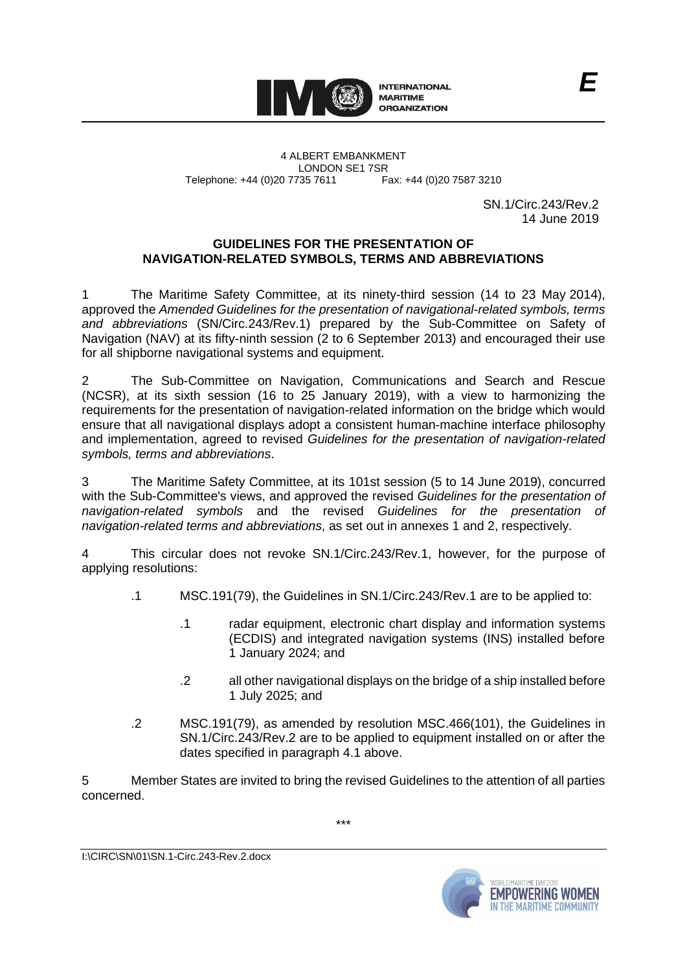

4 ALBERT EMBANKMENT LONDON SE1 7SR Telephone: +44 (0)20 7735 7611 Fax: +44 (0)20 7587 3210

SN.1/Circ.243/Rev.2 14 June 2019

## **GUIDELINES FOR THE PRESENTATION OF NAVIGATION-RELATED SYMBOLS, TERMS AND ABBREVIATIONS**

1 The Maritime Safety Committee, at its ninety-third session (14 to 23 May 2014), approved the *Amended Guidelines for the presentation of navigational-related symbols, terms and abbreviations* (SN/Circ.243/Rev.1) prepared by the Sub-Committee on Safety of Navigation (NAV) at its fifty-ninth session (2 to 6 September 2013) and encouraged their use for all shipborne navigational systems and equipment.

2 The Sub-Committee on Navigation, Communications and Search and Rescue (NCSR), at its sixth session (16 to 25 January 2019), with a view to harmonizing the requirements for the presentation of navigation-related information on the bridge which would ensure that all navigational displays adopt a consistent human-machine interface philosophy and implementation, agreed to revised *Guidelines for the presentation of navigation-related symbols, terms and abbreviations*.

3 The Maritime Safety Committee, at its 101st session (5 to 14 June 2019), concurred with the Sub-Committee's views, and approved the revised *Guidelines for the presentation of navigation-related symbols* and the revised *Guidelines for the presentation of navigation-related terms and abbreviations*, as set out in annexes 1 and 2, respectively.

4 This circular does not revoke SN.1/Circ.243/Rev.1, however, for the purpose of applying resolutions:

- .1 MSC.191(79), the Guidelines in SN.1/Circ.243/Rev.1 are to be applied to:
	- .1 radar equipment, electronic chart display and information systems (ECDIS) and integrated navigation systems (INS) installed before 1 January 2024; and
	- .2 all other navigational displays on the bridge of a ship installed before 1 July 2025; and
- .2 MSC.191(79), as amended by resolution MSC.466(101), the Guidelines in SN.1/Circ.243/Rev.2 are to be applied to equipment installed on or after the dates specified in paragraph 4.1 above.

5 Member States are invited to bring the revised Guidelines to the attention of all parties concerned.

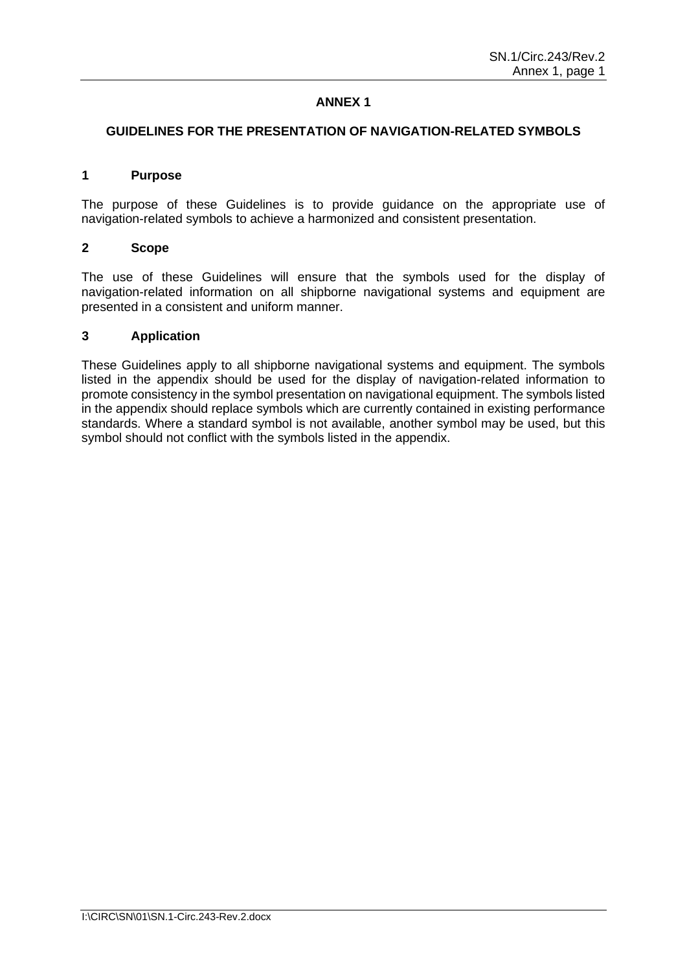# **ANNEX 1**

#### **GUIDELINES FOR THE PRESENTATION OF NAVIGATION-RELATED SYMBOLS**

## **1 Purpose**

The purpose of these Guidelines is to provide guidance on the appropriate use of navigation-related symbols to achieve a harmonized and consistent presentation.

#### **2 Scope**

The use of these Guidelines will ensure that the symbols used for the display of navigation-related information on all shipborne navigational systems and equipment are presented in a consistent and uniform manner.

### **3 Application**

These Guidelines apply to all shipborne navigational systems and equipment. The symbols listed in the appendix should be used for the display of navigation-related information to promote consistency in the symbol presentation on navigational equipment. The symbols listed in the appendix should replace symbols which are currently contained in existing performance standards. Where a standard symbol is not available, another symbol may be used, but this symbol should not conflict with the symbols listed in the appendix.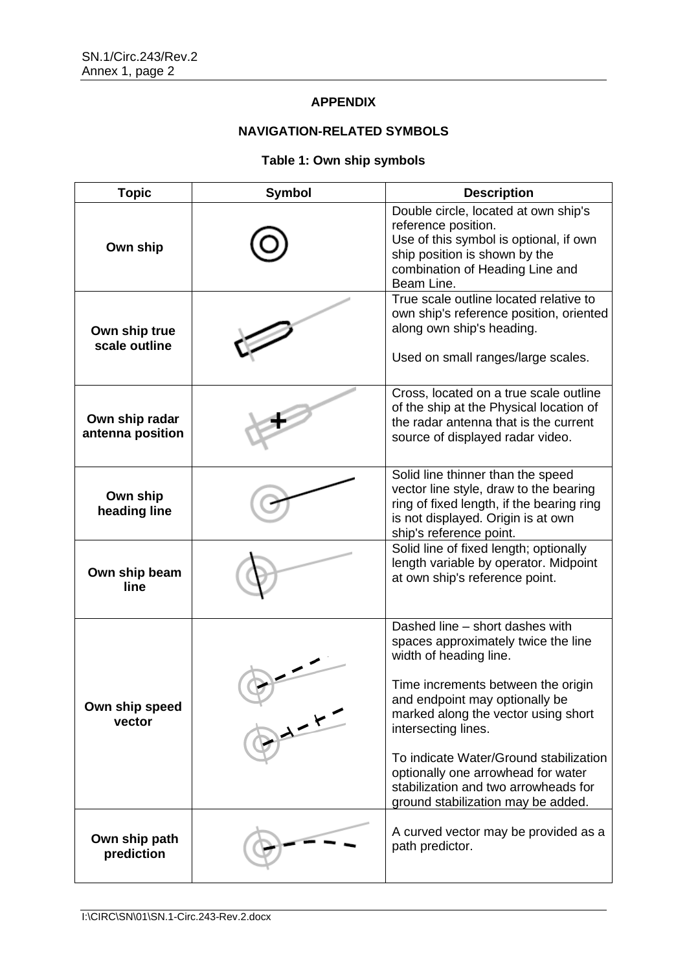# **APPENDIX**

# **NAVIGATION-RELATED SYMBOLS**

# **Table 1: Own ship symbols**

| <b>Topic</b>                       | <b>Symbol</b> | <b>Description</b>                                                                                                                                                                                                                                                                                                                                                                                   |
|------------------------------------|---------------|------------------------------------------------------------------------------------------------------------------------------------------------------------------------------------------------------------------------------------------------------------------------------------------------------------------------------------------------------------------------------------------------------|
| Own ship                           |               | Double circle, located at own ship's<br>reference position.<br>Use of this symbol is optional, if own<br>ship position is shown by the<br>combination of Heading Line and<br>Beam Line.                                                                                                                                                                                                              |
| Own ship true<br>scale outline     |               | True scale outline located relative to<br>own ship's reference position, oriented<br>along own ship's heading.<br>Used on small ranges/large scales.                                                                                                                                                                                                                                                 |
| Own ship radar<br>antenna position |               | Cross, located on a true scale outline<br>of the ship at the Physical location of<br>the radar antenna that is the current<br>source of displayed radar video.                                                                                                                                                                                                                                       |
| Own ship<br>heading line           |               | Solid line thinner than the speed<br>vector line style, draw to the bearing<br>ring of fixed length, if the bearing ring<br>is not displayed. Origin is at own<br>ship's reference point.                                                                                                                                                                                                            |
| Own ship beam<br>line              |               | Solid line of fixed length; optionally<br>length variable by operator. Midpoint<br>at own ship's reference point.                                                                                                                                                                                                                                                                                    |
| Own ship speed<br>vector           | $\frac{1}{2}$ | Dashed line - short dashes with<br>spaces approximately twice the line<br>width of heading line.<br>Time increments between the origin<br>and endpoint may optionally be<br>marked along the vector using short<br>intersecting lines.<br>To indicate Water/Ground stabilization<br>optionally one arrowhead for water<br>stabilization and two arrowheads for<br>ground stabilization may be added. |
| Own ship path<br>prediction        |               | A curved vector may be provided as a<br>path predictor.                                                                                                                                                                                                                                                                                                                                              |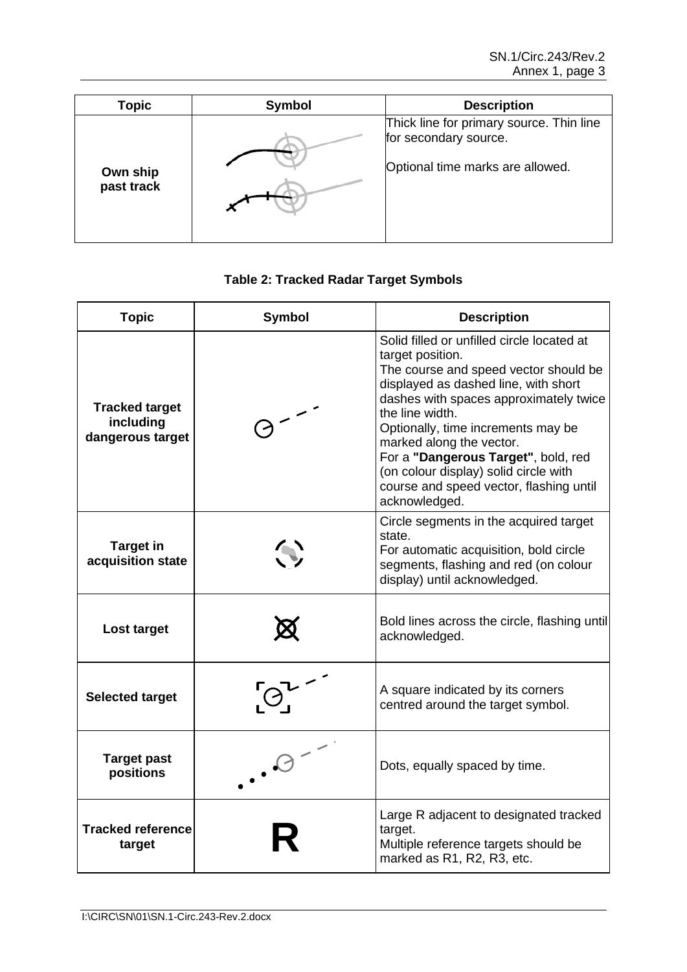| <b>Topic</b>           | Symbol | <b>Description</b>                                                                                    |
|------------------------|--------|-------------------------------------------------------------------------------------------------------|
| Own ship<br>past track |        | Thick line for primary source. Thin line<br>for secondary source.<br>Optional time marks are allowed. |

# **Table 2: Tracked Radar Target Symbols**

| <b>Topic</b>                                           | <b>Symbol</b>                                                        | <b>Description</b>                                                                                                                                                                                                                                                                                                                                                                                                         |
|--------------------------------------------------------|----------------------------------------------------------------------|----------------------------------------------------------------------------------------------------------------------------------------------------------------------------------------------------------------------------------------------------------------------------------------------------------------------------------------------------------------------------------------------------------------------------|
| <b>Tracked target</b><br>including<br>dangerous target |                                                                      | Solid filled or unfilled circle located at<br>target position.<br>The course and speed vector should be<br>displayed as dashed line, with short<br>dashes with spaces approximately twice<br>the line width.<br>Optionally, time increments may be<br>marked along the vector.<br>For a "Dangerous Target", bold, red<br>(on colour display) solid circle with<br>course and speed vector, flashing until<br>acknowledged. |
| <b>Target in</b><br>acquisition state                  | $\left(\begin{smallmatrix}\bullet\\ \bullet\end{smallmatrix}\right)$ | Circle segments in the acquired target<br>state.<br>For automatic acquisition, bold circle<br>segments, flashing and red (on colour<br>display) until acknowledged.                                                                                                                                                                                                                                                        |
| Lost target                                            |                                                                      | Bold lines across the circle, flashing until<br>acknowledged.                                                                                                                                                                                                                                                                                                                                                              |
| <b>Selected target</b>                                 |                                                                      | A square indicated by its corners<br>centred around the target symbol.                                                                                                                                                                                                                                                                                                                                                     |
| <b>Target past</b><br>positions                        |                                                                      | Dots, equally spaced by time.                                                                                                                                                                                                                                                                                                                                                                                              |
| <b>Tracked reference</b><br>target                     |                                                                      | Large R adjacent to designated tracked<br>target.<br>Multiple reference targets should be<br>marked as R1, R2, R3, etc.                                                                                                                                                                                                                                                                                                    |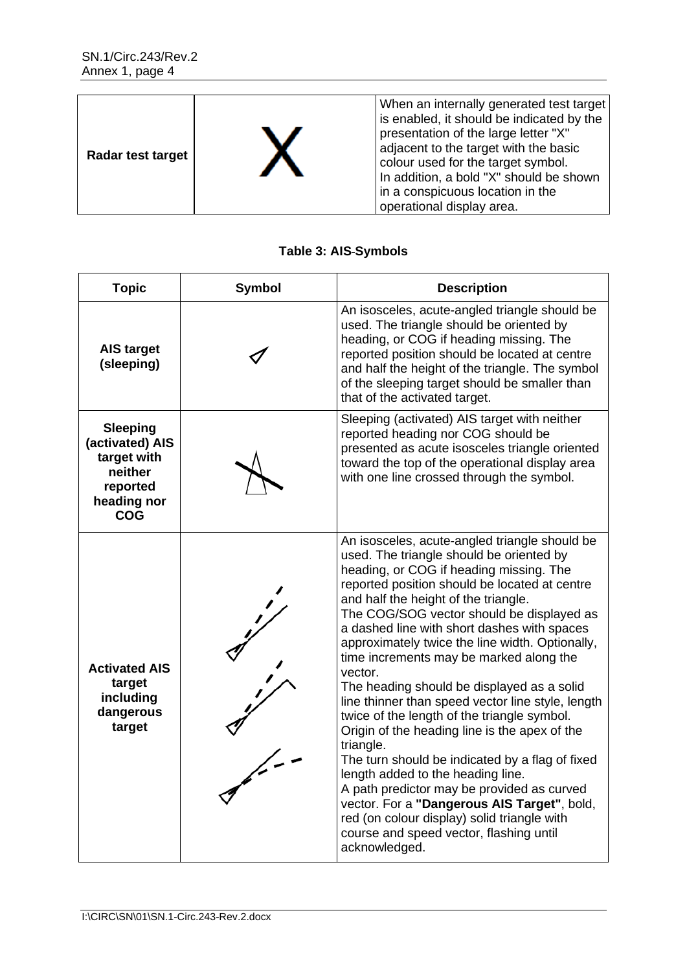| Radar test target |  | When an internally generated test target<br>is enabled, it should be indicated by the<br>presentation of the large letter "X"<br>adjacent to the target with the basic<br>colour used for the target symbol.<br>In addition, a bold "X" should be shown<br>in a conspicuous location in the<br>operational display area. |
|-------------------|--|--------------------------------------------------------------------------------------------------------------------------------------------------------------------------------------------------------------------------------------------------------------------------------------------------------------------------|
|-------------------|--|--------------------------------------------------------------------------------------------------------------------------------------------------------------------------------------------------------------------------------------------------------------------------------------------------------------------------|

# **Table 3: AIS Symbols**

| <b>Topic</b>                                                                                          | <b>Symbol</b> | <b>Description</b>                                                                                                                                                                                                                                                                                                                                                                                                                                                                                                                                                                                                                                                                                                                                                                                                                                                                                                                                 |
|-------------------------------------------------------------------------------------------------------|---------------|----------------------------------------------------------------------------------------------------------------------------------------------------------------------------------------------------------------------------------------------------------------------------------------------------------------------------------------------------------------------------------------------------------------------------------------------------------------------------------------------------------------------------------------------------------------------------------------------------------------------------------------------------------------------------------------------------------------------------------------------------------------------------------------------------------------------------------------------------------------------------------------------------------------------------------------------------|
| <b>AIS target</b><br>(sleeping)                                                                       |               | An isosceles, acute-angled triangle should be<br>used. The triangle should be oriented by<br>heading, or COG if heading missing. The<br>reported position should be located at centre<br>and half the height of the triangle. The symbol<br>of the sleeping target should be smaller than<br>that of the activated target.                                                                                                                                                                                                                                                                                                                                                                                                                                                                                                                                                                                                                         |
| <b>Sleeping</b><br>(activated) AIS<br>target with<br>neither<br>reported<br>heading nor<br><b>COG</b> |               | Sleeping (activated) AIS target with neither<br>reported heading nor COG should be<br>presented as acute isosceles triangle oriented<br>toward the top of the operational display area<br>with one line crossed through the symbol.                                                                                                                                                                                                                                                                                                                                                                                                                                                                                                                                                                                                                                                                                                                |
| <b>Activated AIS</b><br>target<br>including<br>dangerous<br>target                                    |               | An isosceles, acute-angled triangle should be<br>used. The triangle should be oriented by<br>heading, or COG if heading missing. The<br>reported position should be located at centre<br>and half the height of the triangle.<br>The COG/SOG vector should be displayed as<br>a dashed line with short dashes with spaces<br>approximately twice the line width. Optionally,<br>time increments may be marked along the<br>vector.<br>The heading should be displayed as a solid<br>line thinner than speed vector line style, length<br>twice of the length of the triangle symbol.<br>Origin of the heading line is the apex of the<br>triangle.<br>The turn should be indicated by a flag of fixed<br>length added to the heading line.<br>A path predictor may be provided as curved<br>vector. For a "Dangerous AIS Target", bold,<br>red (on colour display) solid triangle with<br>course and speed vector, flashing until<br>acknowledged. |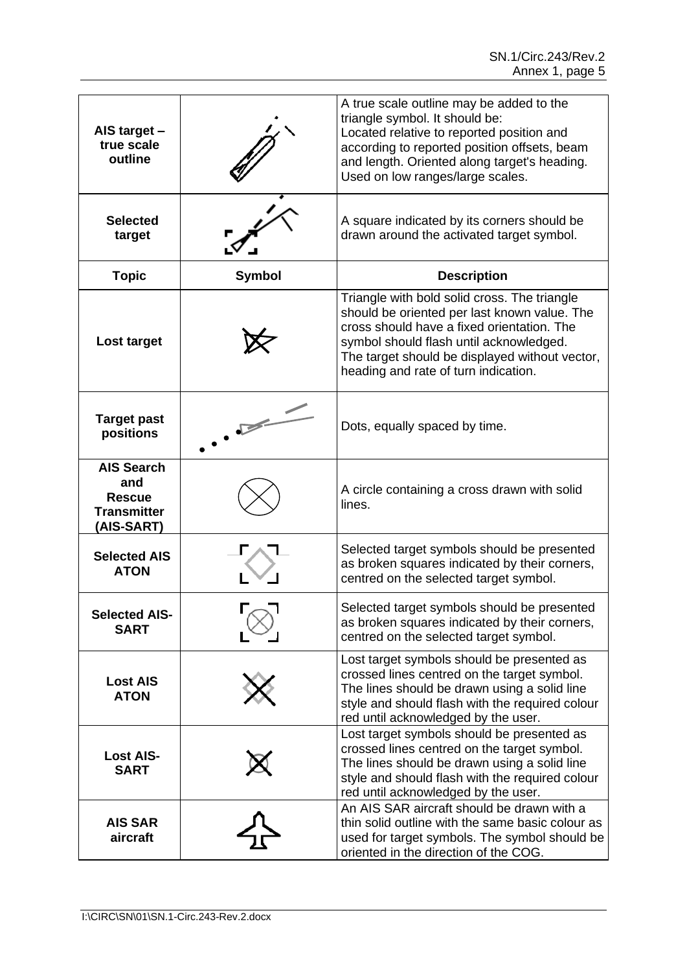| AIS target -<br>true scale<br>outline                                         |               | A true scale outline may be added to the<br>triangle symbol. It should be:<br>Located relative to reported position and<br>according to reported position offsets, beam<br>and length. Oriented along target's heading.<br>Used on low ranges/large scales.                     |
|-------------------------------------------------------------------------------|---------------|---------------------------------------------------------------------------------------------------------------------------------------------------------------------------------------------------------------------------------------------------------------------------------|
| <b>Selected</b><br>target                                                     |               | A square indicated by its corners should be<br>drawn around the activated target symbol.                                                                                                                                                                                        |
| <b>Topic</b>                                                                  | <b>Symbol</b> | <b>Description</b>                                                                                                                                                                                                                                                              |
| Lost target                                                                   |               | Triangle with bold solid cross. The triangle<br>should be oriented per last known value. The<br>cross should have a fixed orientation. The<br>symbol should flash until acknowledged.<br>The target should be displayed without vector,<br>heading and rate of turn indication. |
| <b>Target past</b><br>positions                                               |               | Dots, equally spaced by time.                                                                                                                                                                                                                                                   |
| <b>AIS Search</b><br>and<br><b>Rescue</b><br><b>Transmitter</b><br>(AIS-SART) |               | A circle containing a cross drawn with solid<br>lines.                                                                                                                                                                                                                          |
| <b>Selected AIS</b><br><b>ATON</b>                                            |               | Selected target symbols should be presented<br>as broken squares indicated by their corners,<br>centred on the selected target symbol.                                                                                                                                          |
| <b>Selected AIS-</b><br><b>SART</b>                                           |               | Selected target symbols should be presented<br>as broken squares indicated by their corners,<br>centred on the selected target symbol.                                                                                                                                          |
| <b>Lost AIS</b><br><b>ATON</b>                                                |               | Lost target symbols should be presented as<br>crossed lines centred on the target symbol.<br>The lines should be drawn using a solid line<br>style and should flash with the required colour<br>red until acknowledged by the user.                                             |
| <b>Lost AIS-</b><br><b>SART</b>                                               |               | Lost target symbols should be presented as<br>crossed lines centred on the target symbol.<br>The lines should be drawn using a solid line<br>style and should flash with the required colour<br>red until acknowledged by the user.                                             |
| <b>AIS SAR</b><br>aircraft                                                    |               | An AIS SAR aircraft should be drawn with a<br>thin solid outline with the same basic colour as<br>used for target symbols. The symbol should be<br>oriented in the direction of the COG.                                                                                        |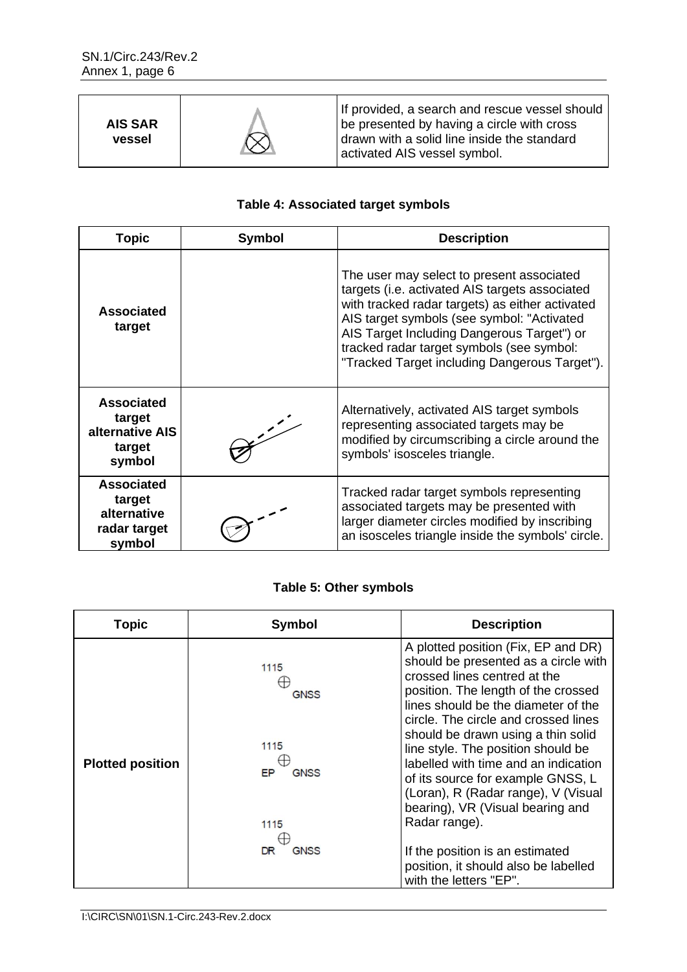| <b>AIS SAR</b><br>vessel |  | If provided, a search and rescue vessel should<br>be presented by having a circle with cross<br>drawn with a solid line inside the standard<br>activated AIS vessel symbol. |
|--------------------------|--|-----------------------------------------------------------------------------------------------------------------------------------------------------------------------------|
|--------------------------|--|-----------------------------------------------------------------------------------------------------------------------------------------------------------------------------|

# **Table 4: Associated target symbols**

| <b>Topic</b>                                                         | <b>Symbol</b> | <b>Description</b>                                                                                                                                                                                                                                                                                                                       |
|----------------------------------------------------------------------|---------------|------------------------------------------------------------------------------------------------------------------------------------------------------------------------------------------------------------------------------------------------------------------------------------------------------------------------------------------|
| <b>Associated</b><br>target                                          |               | The user may select to present associated<br>targets (i.e. activated AIS targets associated<br>with tracked radar targets) as either activated<br>AIS target symbols (see symbol: "Activated<br>AIS Target Including Dangerous Target") or<br>tracked radar target symbols (see symbol:<br>"Tracked Target including Dangerous Target"). |
| <b>Associated</b><br>target<br>alternative AIS<br>target<br>symbol   | $\mathcal{L}$ | Alternatively, activated AIS target symbols<br>representing associated targets may be<br>modified by circumscribing a circle around the<br>symbols' isosceles triangle.                                                                                                                                                                  |
| <b>Associated</b><br>target<br>alternative<br>radar target<br>symbol |               | Tracked radar target symbols representing<br>associated targets may be presented with<br>larger diameter circles modified by inscribing<br>an isosceles triangle inside the symbols' circle.                                                                                                                                             |

# **Table 5: Other symbols**

| <b>Topic</b>            | <b>Symbol</b>             | <b>Description</b>                                                                                                                                                                                                                                                                                                                                                                                                                                                    |
|-------------------------|---------------------------|-----------------------------------------------------------------------------------------------------------------------------------------------------------------------------------------------------------------------------------------------------------------------------------------------------------------------------------------------------------------------------------------------------------------------------------------------------------------------|
| <b>Plotted position</b> | 1115<br><b>GNSS</b>       | A plotted position (Fix, EP and DR)<br>should be presented as a circle with<br>crossed lines centred at the<br>position. The length of the crossed<br>lines should be the diameter of the<br>circle. The circle and crossed lines<br>should be drawn using a thin solid<br>line style. The position should be<br>labelled with time and an indication<br>of its source for example GNSS, L<br>(Loran), R (Radar range), V (Visual<br>bearing), VR (Visual bearing and |
|                         | 1115<br><b>GNSS</b><br>EP |                                                                                                                                                                                                                                                                                                                                                                                                                                                                       |
|                         | 1115                      | Radar range).                                                                                                                                                                                                                                                                                                                                                                                                                                                         |
|                         | <b>GNSS</b><br>DR         | If the position is an estimated<br>position, it should also be labelled<br>with the letters "EP".                                                                                                                                                                                                                                                                                                                                                                     |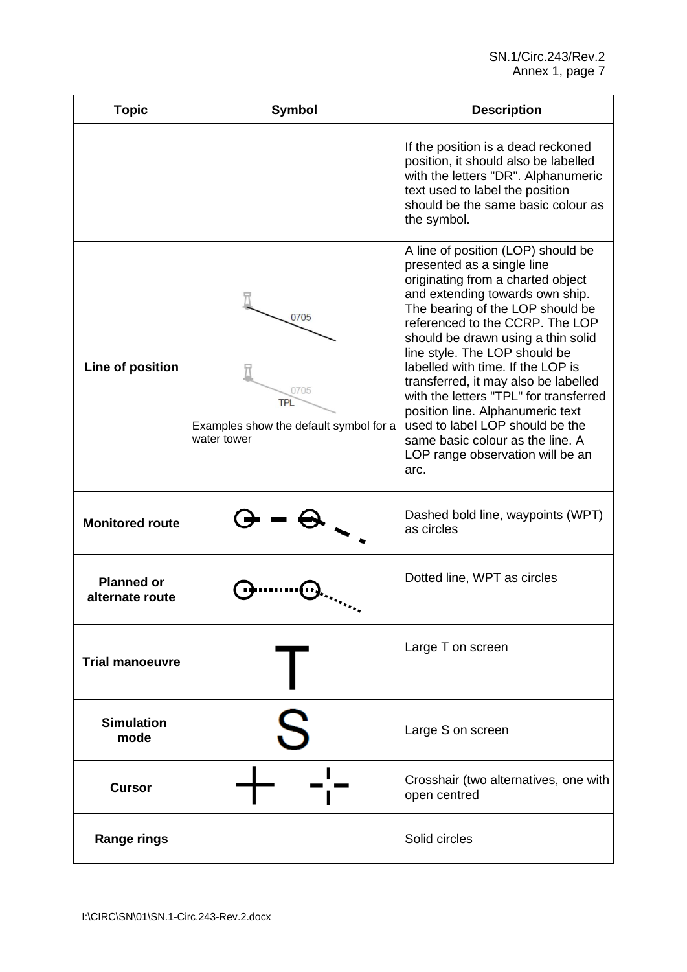| <b>Topic</b>                         | <b>Symbol</b>                                                                | <b>Description</b>                                                                                                                                                                                                                                                                                                                                                                                                                                                                                                                                                   |
|--------------------------------------|------------------------------------------------------------------------------|----------------------------------------------------------------------------------------------------------------------------------------------------------------------------------------------------------------------------------------------------------------------------------------------------------------------------------------------------------------------------------------------------------------------------------------------------------------------------------------------------------------------------------------------------------------------|
|                                      |                                                                              | If the position is a dead reckoned<br>position, it should also be labelled<br>with the letters "DR". Alphanumeric<br>text used to label the position<br>should be the same basic colour as<br>the symbol.                                                                                                                                                                                                                                                                                                                                                            |
| Line of position                     | 0705<br>0705<br>TPL<br>Examples show the default symbol for a<br>water tower | A line of position (LOP) should be<br>presented as a single line<br>originating from a charted object<br>and extending towards own ship.<br>The bearing of the LOP should be<br>referenced to the CCRP. The LOP<br>should be drawn using a thin solid<br>line style. The LOP should be<br>labelled with time. If the LOP is<br>transferred, it may also be labelled<br>with the letters "TPL" for transferred<br>position line. Alphanumeric text<br>used to label LOP should be the<br>same basic colour as the line. A<br>LOP range observation will be an<br>arc. |
| <b>Monitored route</b>               |                                                                              | Dashed bold line, waypoints (WPT)<br>as circles                                                                                                                                                                                                                                                                                                                                                                                                                                                                                                                      |
| <b>Planned or</b><br>alternate route |                                                                              | Dotted line, WPT as circles                                                                                                                                                                                                                                                                                                                                                                                                                                                                                                                                          |
| <b>Trial manoeuvre</b>               |                                                                              | Large T on screen                                                                                                                                                                                                                                                                                                                                                                                                                                                                                                                                                    |
| <b>Simulation</b><br>mode            |                                                                              | Large S on screen                                                                                                                                                                                                                                                                                                                                                                                                                                                                                                                                                    |
| <b>Cursor</b>                        |                                                                              | Crosshair (two alternatives, one with<br>open centred                                                                                                                                                                                                                                                                                                                                                                                                                                                                                                                |
| <b>Range rings</b>                   |                                                                              | Solid circles                                                                                                                                                                                                                                                                                                                                                                                                                                                                                                                                                        |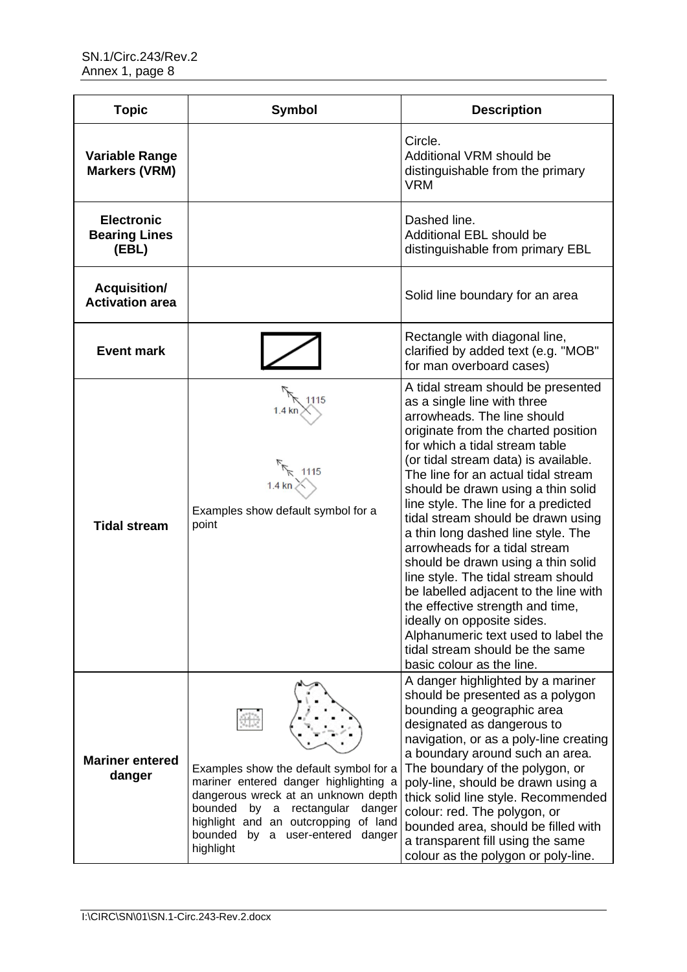| <b>Topic</b>                                       | <b>Symbol</b>                                                                                                                                                                                                                                                                     | <b>Description</b>                                                                                                                                                                                                                                                                                                                                                                                                                                                                                                                                                                                                                                                                                                                                 |
|----------------------------------------------------|-----------------------------------------------------------------------------------------------------------------------------------------------------------------------------------------------------------------------------------------------------------------------------------|----------------------------------------------------------------------------------------------------------------------------------------------------------------------------------------------------------------------------------------------------------------------------------------------------------------------------------------------------------------------------------------------------------------------------------------------------------------------------------------------------------------------------------------------------------------------------------------------------------------------------------------------------------------------------------------------------------------------------------------------------|
| <b>Variable Range</b><br><b>Markers (VRM)</b>      |                                                                                                                                                                                                                                                                                   | Circle.<br>Additional VRM should be<br>distinguishable from the primary<br><b>VRM</b>                                                                                                                                                                                                                                                                                                                                                                                                                                                                                                                                                                                                                                                              |
| <b>Electronic</b><br><b>Bearing Lines</b><br>(EBL) |                                                                                                                                                                                                                                                                                   | Dashed line.<br>Additional EBL should be<br>distinguishable from primary EBL                                                                                                                                                                                                                                                                                                                                                                                                                                                                                                                                                                                                                                                                       |
| <b>Acquisition/</b><br><b>Activation area</b>      |                                                                                                                                                                                                                                                                                   | Solid line boundary for an area                                                                                                                                                                                                                                                                                                                                                                                                                                                                                                                                                                                                                                                                                                                    |
| <b>Event mark</b>                                  |                                                                                                                                                                                                                                                                                   | Rectangle with diagonal line,<br>clarified by added text (e.g. "MOB"<br>for man overboard cases)                                                                                                                                                                                                                                                                                                                                                                                                                                                                                                                                                                                                                                                   |
| <b>Tidal stream</b>                                | 1115<br>1115<br>$1.4 \text{ km}$<br>Examples show default symbol for a<br>point                                                                                                                                                                                                   | A tidal stream should be presented<br>as a single line with three<br>arrowheads. The line should<br>originate from the charted position<br>for which a tidal stream table<br>(or tidal stream data) is available.<br>The line for an actual tidal stream<br>should be drawn using a thin solid<br>line style. The line for a predicted<br>tidal stream should be drawn using<br>a thin long dashed line style. The<br>arrowheads for a tidal stream<br>should be drawn using a thin solid<br>line style. The tidal stream should<br>be labelled adjacent to the line with<br>the effective strength and time.<br>ideally on opposite sides.<br>Alphanumeric text used to label the<br>tidal stream should be the same<br>basic colour as the line. |
| <b>Mariner entered</b><br>danger                   | Examples show the default symbol for a<br>mariner entered danger highlighting a<br>dangerous wreck at an unknown depth<br>bounded<br>rectangular<br>by<br>$\mathsf a$<br>danger<br>highlight and an outcropping<br>of land<br>bounded<br>by a user-entered<br>danger<br>highlight | A danger highlighted by a mariner<br>should be presented as a polygon<br>bounding a geographic area<br>designated as dangerous to<br>navigation, or as a poly-line creating<br>a boundary around such an area.<br>The boundary of the polygon, or<br>poly-line, should be drawn using a<br>thick solid line style. Recommended<br>colour: red. The polygon, or<br>bounded area, should be filled with<br>a transparent fill using the same<br>colour as the polygon or poly-line.                                                                                                                                                                                                                                                                  |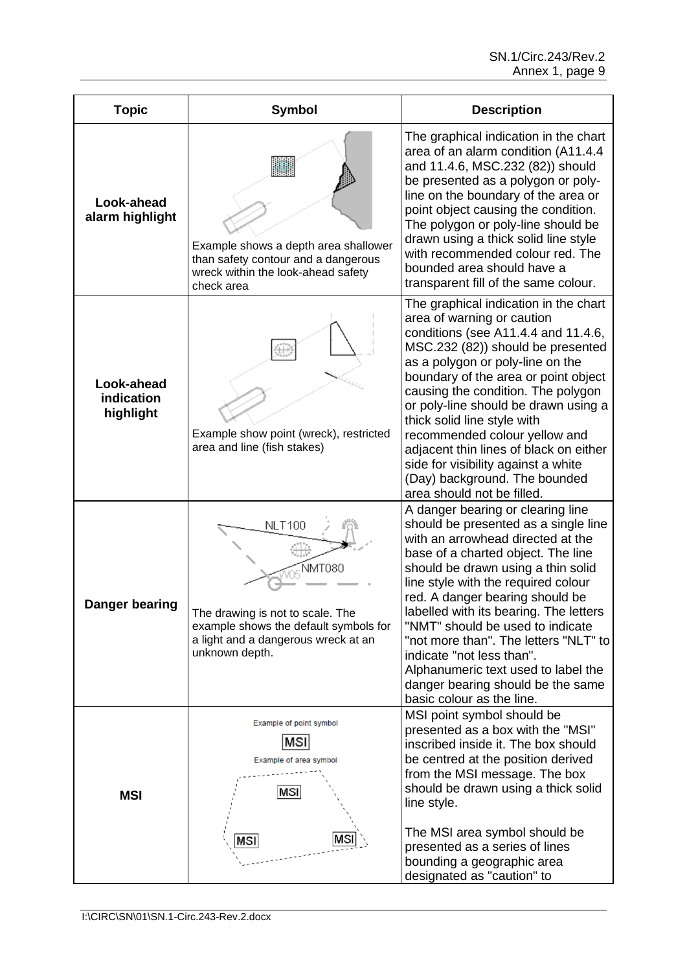| <b>Topic</b>                          | <b>Symbol</b>                                                                                                                                                 | <b>Description</b>                                                                                                                                                                                                                                                                                                                                                                                                                                                                                                                |
|---------------------------------------|---------------------------------------------------------------------------------------------------------------------------------------------------------------|-----------------------------------------------------------------------------------------------------------------------------------------------------------------------------------------------------------------------------------------------------------------------------------------------------------------------------------------------------------------------------------------------------------------------------------------------------------------------------------------------------------------------------------|
| Look-ahead<br>alarm highlight         | Example shows a depth area shallower<br>than safety contour and a dangerous<br>wreck within the look-ahead safety<br>check area                               | The graphical indication in the chart<br>area of an alarm condition (A11.4.4<br>and 11.4.6, MSC.232 (82)) should<br>be presented as a polygon or poly-<br>line on the boundary of the area or<br>point object causing the condition.<br>The polygon or poly-line should be<br>drawn using a thick solid line style<br>with recommended colour red. The<br>bounded area should have a<br>transparent fill of the same colour.                                                                                                      |
| Look-ahead<br>indication<br>highlight | Example show point (wreck), restricted<br>area and line (fish stakes)                                                                                         | The graphical indication in the chart<br>area of warning or caution<br>conditions (see A11.4.4 and 11.4.6,<br>MSC.232 (82)) should be presented<br>as a polygon or poly-line on the<br>boundary of the area or point object<br>causing the condition. The polygon<br>or poly-line should be drawn using a<br>thick solid line style with<br>recommended colour yellow and<br>adjacent thin lines of black on either<br>side for visibility against a white<br>(Day) background. The bounded<br>area should not be filled.         |
| Danger bearing                        | <b>NLT100</b><br>NMT080<br>The drawing is not to scale. The<br>example shows the default symbols for<br>a light and a dangerous wreck at an<br>unknown depth. | A danger bearing or clearing line<br>should be presented as a single line<br>with an arrowhead directed at the<br>base of a charted object. The line<br>should be drawn using a thin solid<br>line style with the required colour<br>red. A danger bearing should be<br>labelled with its bearing. The letters<br>"NMT" should be used to indicate<br>"not more than". The letters "NLT" to<br>indicate "not less than".<br>Alphanumeric text used to label the<br>danger bearing should be the same<br>basic colour as the line. |
| <b>MSI</b>                            | Example of point symbol<br>MSI<br>Example of area symbol<br>MSI<br>MSI<br>MSI                                                                                 | MSI point symbol should be<br>presented as a box with the "MSI"<br>inscribed inside it. The box should<br>be centred at the position derived<br>from the MSI message. The box<br>should be drawn using a thick solid<br>line style.<br>The MSI area symbol should be<br>presented as a series of lines<br>bounding a geographic area<br>designated as "caution" to                                                                                                                                                                |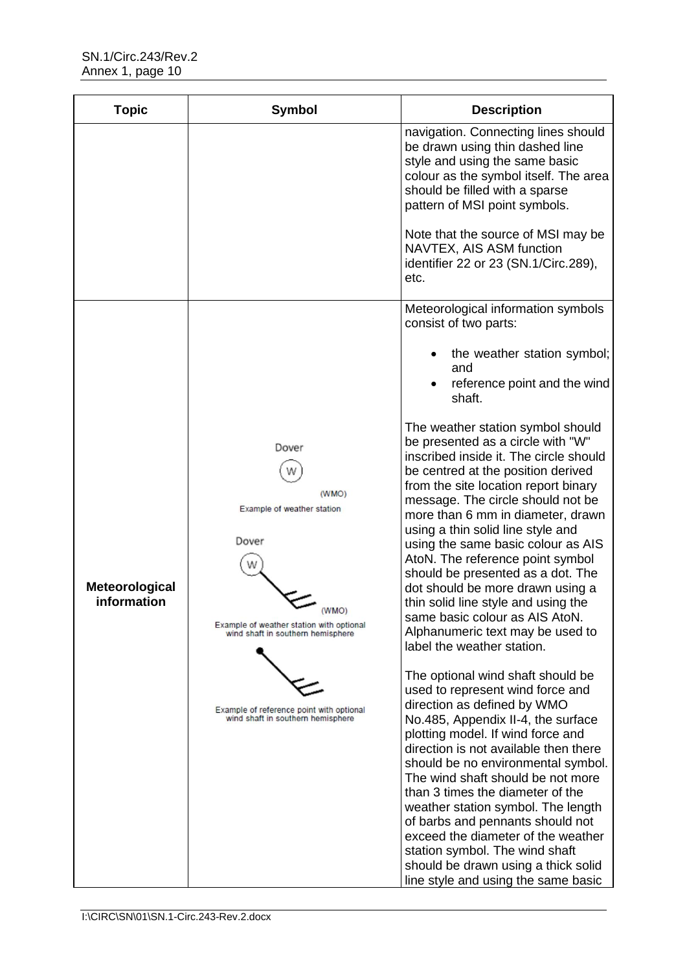| <b>Topic</b>                  | Symbol                                                                                                                                          | <b>Description</b>                                                                                                                                                                                                                                                                                                                                                                                                                                                                                                                                                                                          |
|-------------------------------|-------------------------------------------------------------------------------------------------------------------------------------------------|-------------------------------------------------------------------------------------------------------------------------------------------------------------------------------------------------------------------------------------------------------------------------------------------------------------------------------------------------------------------------------------------------------------------------------------------------------------------------------------------------------------------------------------------------------------------------------------------------------------|
|                               |                                                                                                                                                 | navigation. Connecting lines should<br>be drawn using thin dashed line<br>style and using the same basic<br>colour as the symbol itself. The area<br>should be filled with a sparse<br>pattern of MSI point symbols.                                                                                                                                                                                                                                                                                                                                                                                        |
|                               |                                                                                                                                                 | Note that the source of MSI may be<br>NAVTEX, AIS ASM function<br>identifier 22 or 23 (SN.1/Circ.289),<br>etc.                                                                                                                                                                                                                                                                                                                                                                                                                                                                                              |
|                               |                                                                                                                                                 | Meteorological information symbols<br>consist of two parts:                                                                                                                                                                                                                                                                                                                                                                                                                                                                                                                                                 |
|                               |                                                                                                                                                 | the weather station symbol;<br>and<br>reference point and the wind<br>shaft.                                                                                                                                                                                                                                                                                                                                                                                                                                                                                                                                |
| Meteorological<br>information | Dover<br>(WMO)<br>Example of weather station<br>Dover<br>(WMO)<br>Example of weather station with optional<br>wind shaft in southern hemisphere | The weather station symbol should<br>be presented as a circle with "W"<br>inscribed inside it. The circle should<br>be centred at the position derived<br>from the site location report binary<br>message. The circle should not be<br>more than 6 mm in diameter, drawn<br>using a thin solid line style and<br>using the same basic colour as AIS<br>AtoN. The reference point symbol<br>should be presented as a dot. The<br>dot should be more drawn using a<br>thin solid line style and using the<br>same basic colour as AIS AtoN.<br>Alphanumeric text may be used to<br>label the weather station. |
|                               | Example of reference point with optional<br>wind shaft in southern hemisphere                                                                   | The optional wind shaft should be<br>used to represent wind force and<br>direction as defined by WMO<br>No.485, Appendix II-4, the surface<br>plotting model. If wind force and<br>direction is not available then there<br>should be no environmental symbol.<br>The wind shaft should be not more<br>than 3 times the diameter of the<br>weather station symbol. The length<br>of barbs and pennants should not<br>exceed the diameter of the weather<br>station symbol. The wind shaft<br>should be drawn using a thick solid<br>line style and using the same basic                                     |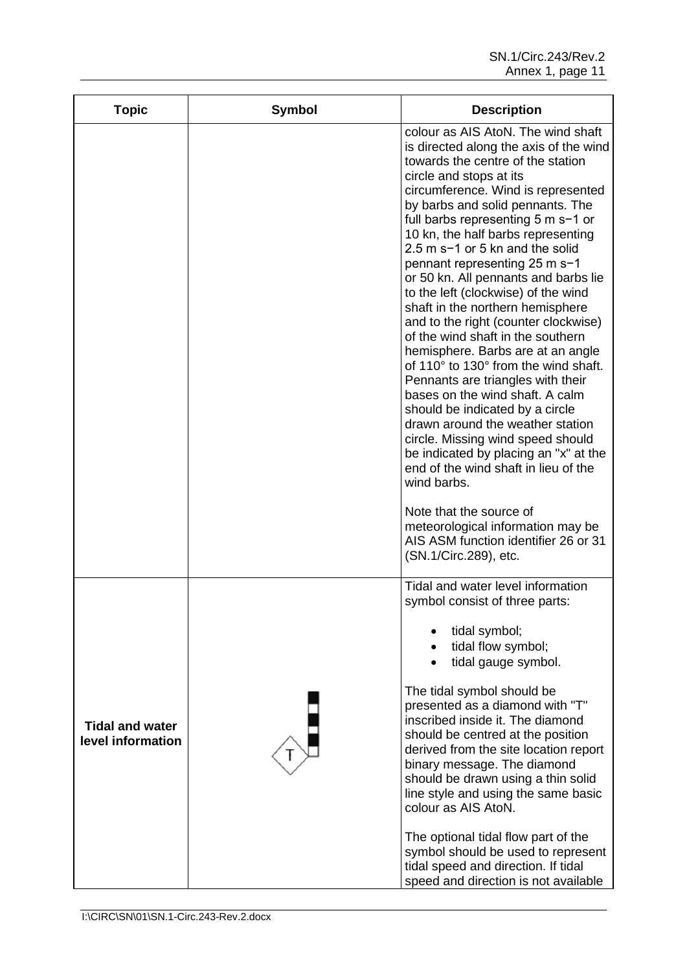| <b>Topic</b>                                | Symbol | <b>Description</b>                                                                                                                                                                                                                                                                                                                                                                                                                                                                                                                                                                                                                                                                                                                                                                                                                                                                                                                                                                                                                                                       |
|---------------------------------------------|--------|--------------------------------------------------------------------------------------------------------------------------------------------------------------------------------------------------------------------------------------------------------------------------------------------------------------------------------------------------------------------------------------------------------------------------------------------------------------------------------------------------------------------------------------------------------------------------------------------------------------------------------------------------------------------------------------------------------------------------------------------------------------------------------------------------------------------------------------------------------------------------------------------------------------------------------------------------------------------------------------------------------------------------------------------------------------------------|
|                                             |        | colour as AIS AtoN. The wind shaft<br>is directed along the axis of the wind<br>towards the centre of the station<br>circle and stops at its<br>circumference. Wind is represented<br>by barbs and solid pennants. The<br>full barbs representing 5 m s-1 or<br>10 kn, the half barbs representing<br>2.5 m s-1 or 5 kn and the solid<br>pennant representing 25 m s-1<br>or 50 kn. All pennants and barbs lie<br>to the left (clockwise) of the wind<br>shaft in the northern hemisphere<br>and to the right (counter clockwise)<br>of the wind shaft in the southern<br>hemisphere. Barbs are at an angle<br>of 110° to 130° from the wind shaft.<br>Pennants are triangles with their<br>bases on the wind shaft. A calm<br>should be indicated by a circle<br>drawn around the weather station<br>circle. Missing wind speed should<br>be indicated by placing an "x" at the<br>end of the wind shaft in lieu of the<br>wind barbs.<br>Note that the source of<br>meteorological information may be<br>AIS ASM function identifier 26 or 31<br>(SN.1/Circ.289), etc. |
| <b>Tidal and water</b><br>level information |        | Tidal and water level information<br>symbol consist of three parts:<br>tidal symbol;<br>tidal flow symbol;<br>tidal gauge symbol.<br>The tidal symbol should be<br>presented as a diamond with "T"<br>inscribed inside it. The diamond<br>should be centred at the position<br>derived from the site location report<br>binary message. The diamond<br>should be drawn using a thin solid<br>line style and using the same basic<br>colour as AIS AtoN.<br>The optional tidal flow part of the<br>symbol should be used to represent<br>tidal speed and direction. If tidal<br>speed and direction is not available                                                                                                                                                                                                                                                                                                                                                                                                                                                      |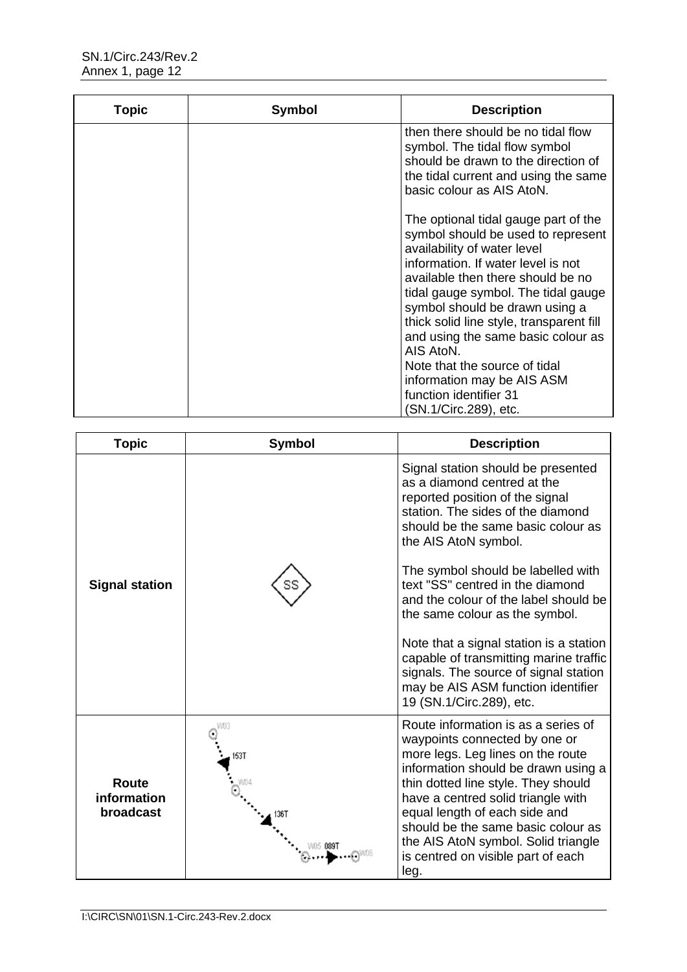| Topic | Symbol | <b>Description</b>                                                                                                                                                                                                                                                                                                                                           |
|-------|--------|--------------------------------------------------------------------------------------------------------------------------------------------------------------------------------------------------------------------------------------------------------------------------------------------------------------------------------------------------------------|
|       |        | then there should be no tidal flow<br>symbol. The tidal flow symbol<br>should be drawn to the direction of<br>the tidal current and using the same<br>basic colour as AIS AtoN.                                                                                                                                                                              |
|       |        | The optional tidal gauge part of the<br>symbol should be used to represent<br>availability of water level<br>information. If water level is not<br>available then there should be no<br>tidal gauge symbol. The tidal gauge<br>symbol should be drawn using a<br>thick solid line style, transparent fill<br>and using the same basic colour as<br>AIS AtoN. |
|       |        | Note that the source of tidal<br>information may be AIS ASM                                                                                                                                                                                                                                                                                                  |
|       |        | function identifier 31<br>(SN.1/Circ.289), etc.                                                                                                                                                                                                                                                                                                              |

| <b>Topic</b>                             | <b>Symbol</b>               | <b>Description</b>                                                                                                                                                                                                                                                                                                                                                                                                                                                                                                               |
|------------------------------------------|-----------------------------|----------------------------------------------------------------------------------------------------------------------------------------------------------------------------------------------------------------------------------------------------------------------------------------------------------------------------------------------------------------------------------------------------------------------------------------------------------------------------------------------------------------------------------|
| <b>Signal station</b>                    |                             | Signal station should be presented<br>as a diamond centred at the<br>reported position of the signal<br>station. The sides of the diamond<br>should be the same basic colour as<br>the AIS AtoN symbol.<br>The symbol should be labelled with<br>text "SS" centred in the diamond<br>and the colour of the label should be<br>the same colour as the symbol.<br>Note that a signal station is a station<br>capable of transmitting marine traffic<br>signals. The source of signal station<br>may be AIS ASM function identifier |
|                                          |                             | 19 (SN.1/Circ.289), etc.                                                                                                                                                                                                                                                                                                                                                                                                                                                                                                         |
| <b>Route</b><br>information<br>broadcast | WO3<br>153T<br>136T<br>0891 | Route information is as a series of<br>waypoints connected by one or<br>more legs. Leg lines on the route<br>information should be drawn using a<br>thin dotted line style. They should<br>have a centred solid triangle with<br>equal length of each side and<br>should be the same basic colour as<br>the AIS AtoN symbol. Solid triangle<br>is centred on visible part of each<br>leg.                                                                                                                                        |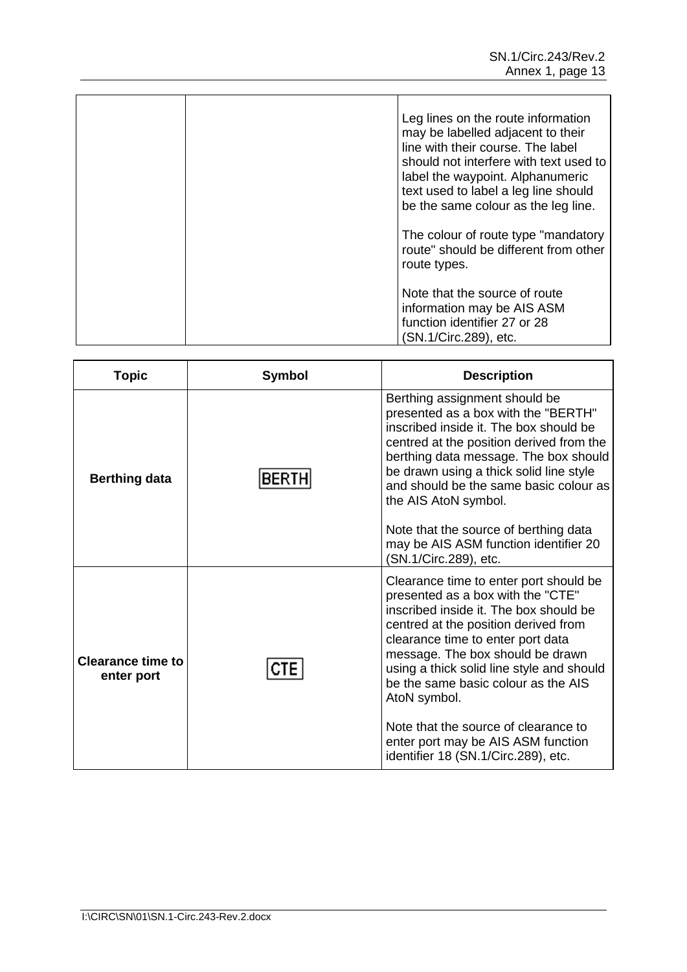|  | Leg lines on the route information<br>may be labelled adjacent to their<br>line with their course. The label<br>should not interfere with text used to<br>label the waypoint. Alphanumeric<br>text used to label a leg line should<br>be the same colour as the leg line. |
|--|---------------------------------------------------------------------------------------------------------------------------------------------------------------------------------------------------------------------------------------------------------------------------|
|  | The colour of route type "mandatory"<br>route" should be different from other<br>route types.                                                                                                                                                                             |
|  | Note that the source of route<br>information may be AIS ASM<br>function identifier 27 or 28<br>(SN.1/Circ.289), etc.                                                                                                                                                      |

| <b>Topic</b>                           | <b>Symbol</b> | <b>Description</b>                                                                                                                                                                                                                                                                                                                                                                                                                                              |
|----------------------------------------|---------------|-----------------------------------------------------------------------------------------------------------------------------------------------------------------------------------------------------------------------------------------------------------------------------------------------------------------------------------------------------------------------------------------------------------------------------------------------------------------|
| <b>Berthing data</b>                   | BERT          | Berthing assignment should be<br>presented as a box with the "BERTH"<br>inscribed inside it. The box should be<br>centred at the position derived from the<br>berthing data message. The box should<br>be drawn using a thick solid line style<br>and should be the same basic colour as<br>the AIS AtoN symbol.<br>Note that the source of berthing data<br>may be AIS ASM function identifier 20<br>(SN.1/Circ.289), etc.                                     |
| <b>Clearance time to</b><br>enter port |               | Clearance time to enter port should be<br>presented as a box with the "CTE"<br>inscribed inside it. The box should be<br>centred at the position derived from<br>clearance time to enter port data<br>message. The box should be drawn<br>using a thick solid line style and should<br>be the same basic colour as the AIS<br>AtoN symbol.<br>Note that the source of clearance to<br>enter port may be AIS ASM function<br>identifier 18 (SN.1/Circ.289), etc. |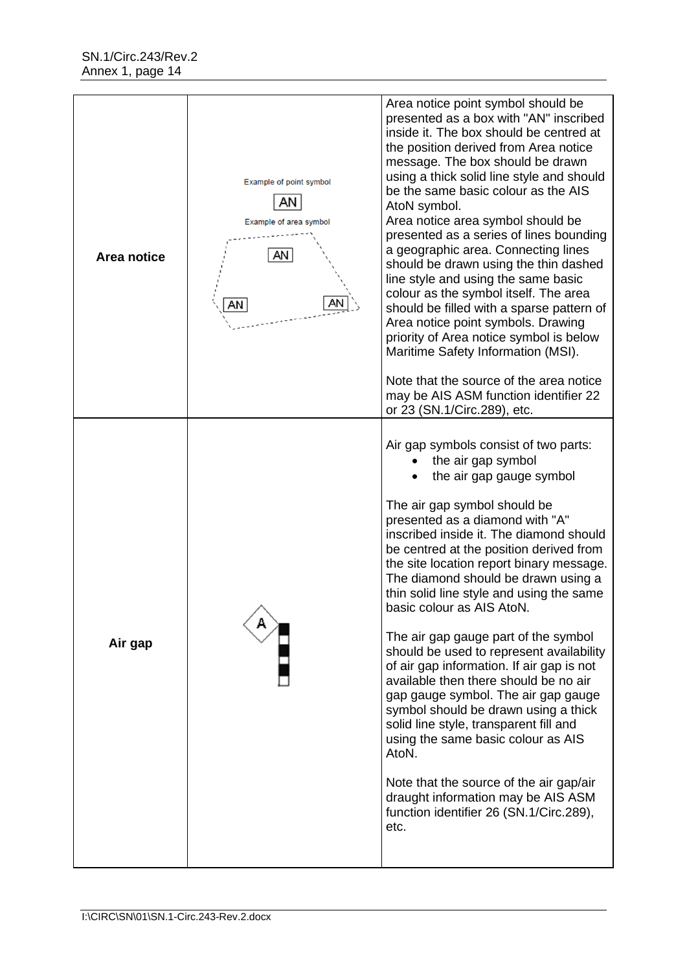| Area notice | Example of point symbol<br>AN<br>Example of area symbol<br>AN<br>AN | Area notice point symbol should be<br>presented as a box with "AN" inscribed<br>inside it. The box should be centred at<br>the position derived from Area notice<br>message. The box should be drawn<br>using a thick solid line style and should<br>be the same basic colour as the AIS<br>AtoN symbol.<br>Area notice area symbol should be<br>presented as a series of lines bounding<br>a geographic area. Connecting lines<br>should be drawn using the thin dashed<br>line style and using the same basic<br>colour as the symbol itself. The area<br>should be filled with a sparse pattern of<br>Area notice point symbols. Drawing<br>priority of Area notice symbol is below<br>Maritime Safety Information (MSI).<br>Note that the source of the area notice<br>may be AIS ASM function identifier 22<br>or 23 (SN.1/Circ.289), etc.                                                    |
|-------------|---------------------------------------------------------------------|----------------------------------------------------------------------------------------------------------------------------------------------------------------------------------------------------------------------------------------------------------------------------------------------------------------------------------------------------------------------------------------------------------------------------------------------------------------------------------------------------------------------------------------------------------------------------------------------------------------------------------------------------------------------------------------------------------------------------------------------------------------------------------------------------------------------------------------------------------------------------------------------------|
| Air gap     |                                                                     | Air gap symbols consist of two parts:<br>the air gap symbol<br>the air gap gauge symbol<br>The air gap symbol should be<br>presented as a diamond with "A"<br>inscribed inside it. The diamond should<br>be centred at the position derived from<br>the site location report binary message.<br>The diamond should be drawn using a<br>thin solid line style and using the same<br>basic colour as AIS AtoN.<br>The air gap gauge part of the symbol<br>should be used to represent availability<br>of air gap information. If air gap is not<br>available then there should be no air<br>gap gauge symbol. The air gap gauge<br>symbol should be drawn using a thick<br>solid line style, transparent fill and<br>using the same basic colour as AIS<br>AtoN.<br>Note that the source of the air gap/air<br>draught information may be AIS ASM<br>function identifier 26 (SN.1/Circ.289),<br>etc. |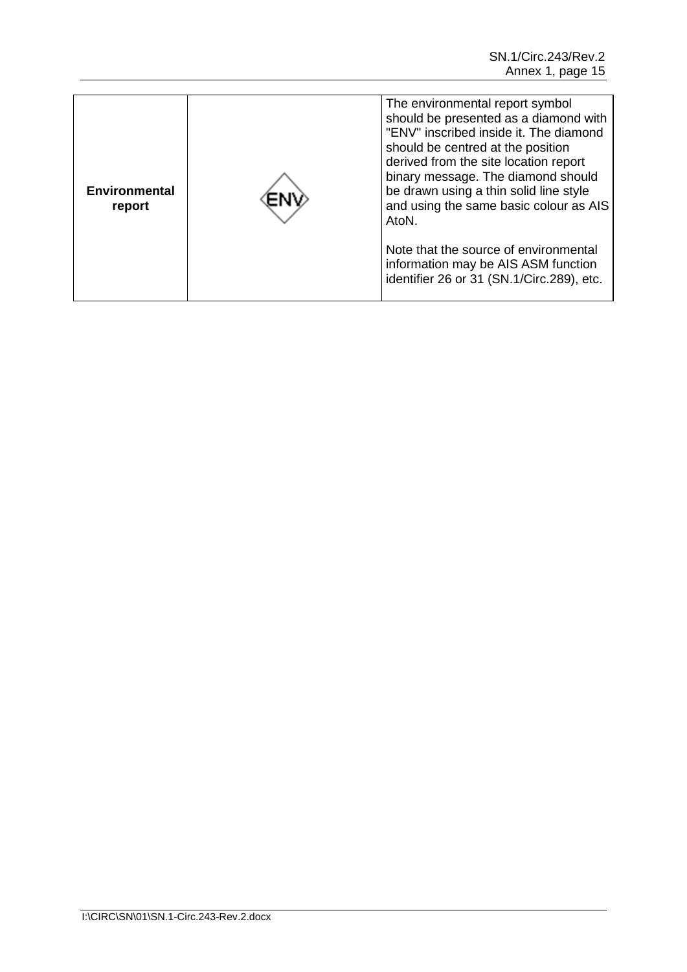| <b>Environmental</b><br>report |  | The environmental report symbol<br>should be presented as a diamond with<br>"ENV" inscribed inside it. The diamond<br>should be centred at the position<br>derived from the site location report<br>binary message. The diamond should<br>be drawn using a thin solid line style<br>and using the same basic colour as AIS<br>AtoN.<br>Note that the source of environmental<br>information may be AIS ASM function<br>identifier 26 or 31 (SN.1/Circ.289), etc. |
|--------------------------------|--|------------------------------------------------------------------------------------------------------------------------------------------------------------------------------------------------------------------------------------------------------------------------------------------------------------------------------------------------------------------------------------------------------------------------------------------------------------------|
|--------------------------------|--|------------------------------------------------------------------------------------------------------------------------------------------------------------------------------------------------------------------------------------------------------------------------------------------------------------------------------------------------------------------------------------------------------------------------------------------------------------------|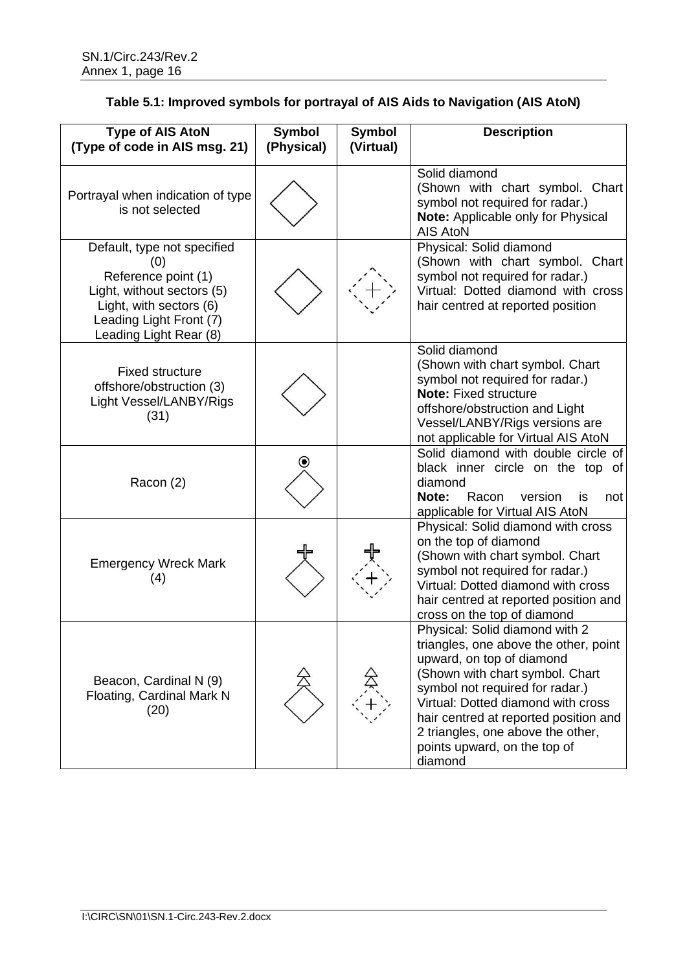| <b>Type of AIS AtoN</b><br>(Type of code in AIS msg. 21)                                                                                                                | <b>Symbol</b><br>(Physical) | <b>Symbol</b><br>(Virtual) | <b>Description</b>                                                                                                                                                                                                                                                                                                                        |
|-------------------------------------------------------------------------------------------------------------------------------------------------------------------------|-----------------------------|----------------------------|-------------------------------------------------------------------------------------------------------------------------------------------------------------------------------------------------------------------------------------------------------------------------------------------------------------------------------------------|
| Portrayal when indication of type<br>is not selected                                                                                                                    |                             |                            | Solid diamond<br>(Shown with chart symbol. Chart<br>symbol not required for radar.)<br>Note: Applicable only for Physical<br><b>AIS AtoN</b>                                                                                                                                                                                              |
| Default, type not specified<br>(0)<br>Reference point (1)<br>Light, without sectors (5)<br>Light, with sectors (6)<br>Leading Light Front (7)<br>Leading Light Rear (8) |                             |                            | Physical: Solid diamond<br>(Shown with chart symbol. Chart<br>symbol not required for radar.)<br>Virtual: Dotted diamond with cross<br>hair centred at reported position                                                                                                                                                                  |
| <b>Fixed structure</b><br>offshore/obstruction (3)<br>Light Vessel/LANBY/Rigs<br>(31)                                                                                   |                             |                            | Solid diamond<br>(Shown with chart symbol. Chart<br>symbol not required for radar.)<br><b>Note: Fixed structure</b><br>offshore/obstruction and Light<br>Vessel/LANBY/Rigs versions are<br>not applicable for Virtual AIS AtoN                                                                                                            |
| Racon (2)                                                                                                                                                               | $\boldsymbol{\circ}$        |                            | Solid diamond with double circle of<br>black inner circle on the top of<br>diamond<br>Racon<br>version<br><b>Note:</b><br>not<br>is<br>applicable for Virtual AIS AtoN                                                                                                                                                                    |
| <b>Emergency Wreck Mark</b><br>(4)                                                                                                                                      |                             |                            | Physical: Solid diamond with cross<br>on the top of diamond<br>(Shown with chart symbol. Chart<br>symbol not required for radar.)<br>Virtual: Dotted diamond with cross<br>hair centred at reported position and<br>cross on the top of diamond                                                                                           |
| Beacon, Cardinal N (9)<br>Floating, Cardinal Mark N<br>(20)                                                                                                             |                             |                            | Physical: Solid diamond with 2<br>triangles, one above the other, point<br>upward, on top of diamond<br>(Shown with chart symbol. Chart<br>symbol not required for radar.)<br>Virtual: Dotted diamond with cross<br>hair centred at reported position and<br>2 triangles, one above the other,<br>points upward, on the top of<br>diamond |

# **Table 5.1: Improved symbols for portrayal of AIS Aids to Navigation (AIS AtoN)**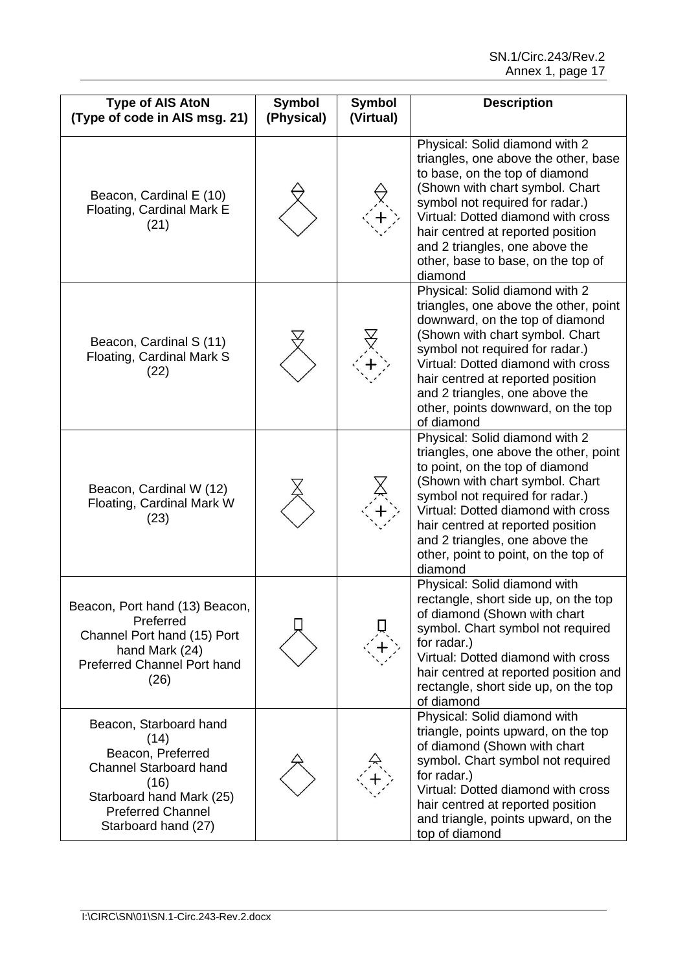| <b>Type of AIS AtoN</b><br>(Type of code in AIS msg. 21)                                                                                                                    | <b>Symbol</b><br>(Physical) | Symbol<br>(Virtual) | <b>Description</b>                                                                                                                                                                                                                                                                                                                                |
|-----------------------------------------------------------------------------------------------------------------------------------------------------------------------------|-----------------------------|---------------------|---------------------------------------------------------------------------------------------------------------------------------------------------------------------------------------------------------------------------------------------------------------------------------------------------------------------------------------------------|
| Beacon, Cardinal E (10)<br>Floating, Cardinal Mark E<br>(21)                                                                                                                |                             |                     | Physical: Solid diamond with 2<br>triangles, one above the other, base<br>to base, on the top of diamond<br>(Shown with chart symbol. Chart<br>symbol not required for radar.)<br>Virtual: Dotted diamond with cross<br>hair centred at reported position<br>and 2 triangles, one above the<br>other, base to base, on the top of<br>diamond      |
| Beacon, Cardinal S (11)<br>Floating, Cardinal Mark S<br>(22)                                                                                                                |                             |                     | Physical: Solid diamond with 2<br>triangles, one above the other, point<br>downward, on the top of diamond<br>(Shown with chart symbol. Chart<br>symbol not required for radar.)<br>Virtual: Dotted diamond with cross<br>hair centred at reported position<br>and 2 triangles, one above the<br>other, points downward, on the top<br>of diamond |
| Beacon, Cardinal W (12)<br>Floating, Cardinal Mark W<br>(23)                                                                                                                |                             |                     | Physical: Solid diamond with 2<br>triangles, one above the other, point<br>to point, on the top of diamond<br>(Shown with chart symbol. Chart<br>symbol not required for radar.)<br>Virtual: Dotted diamond with cross<br>hair centred at reported position<br>and 2 triangles, one above the<br>other, point to point, on the top of<br>diamond  |
| Beacon, Port hand (13) Beacon,<br>Preferred<br>Channel Port hand (15) Port<br>hand Mark (24)<br><b>Preferred Channel Port hand</b><br>(26)                                  |                             |                     | Physical: Solid diamond with<br>rectangle, short side up, on the top<br>of diamond (Shown with chart<br>symbol. Chart symbol not required<br>for radar.)<br>Virtual: Dotted diamond with cross<br>hair centred at reported position and<br>rectangle, short side up, on the top<br>of diamond                                                     |
| Beacon, Starboard hand<br>(14)<br>Beacon, Preferred<br><b>Channel Starboard hand</b><br>(16)<br>Starboard hand Mark (25)<br><b>Preferred Channel</b><br>Starboard hand (27) |                             |                     | Physical: Solid diamond with<br>triangle, points upward, on the top<br>of diamond (Shown with chart<br>symbol. Chart symbol not required<br>for radar.)<br>Virtual: Dotted diamond with cross<br>hair centred at reported position<br>and triangle, points upward, on the<br>top of diamond                                                       |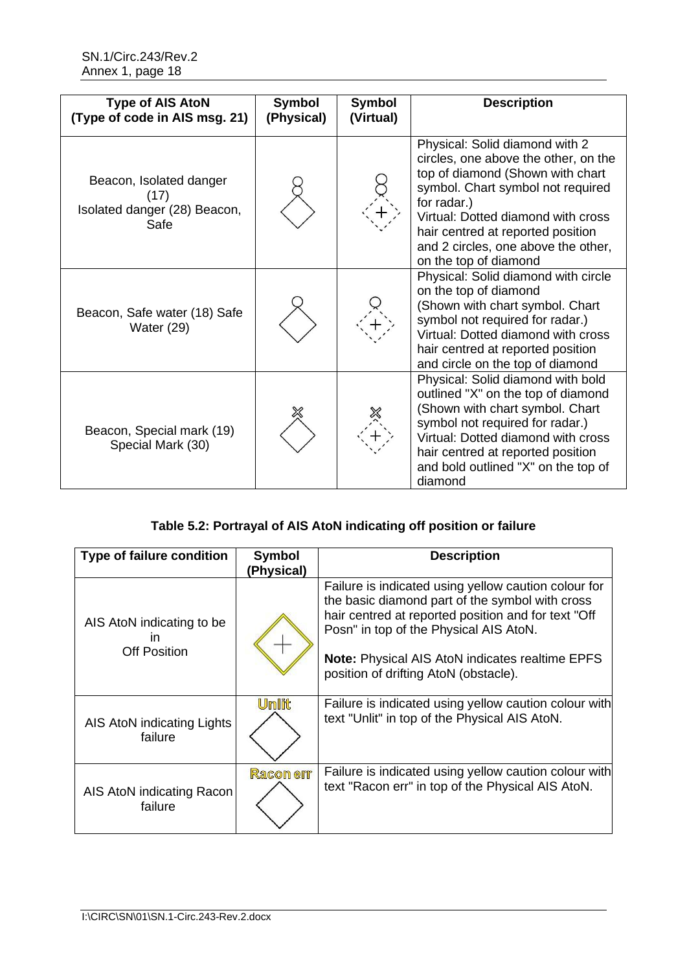| <b>Type of AIS AtoN</b><br>(Type of code in AIS msg. 21)                | <b>Symbol</b><br>(Physical) | <b>Symbol</b><br>(Virtual) | <b>Description</b>                                                                                                                                                                                                                                                                                        |
|-------------------------------------------------------------------------|-----------------------------|----------------------------|-----------------------------------------------------------------------------------------------------------------------------------------------------------------------------------------------------------------------------------------------------------------------------------------------------------|
| Beacon, Isolated danger<br>(17)<br>Isolated danger (28) Beacon,<br>Safe |                             |                            | Physical: Solid diamond with 2<br>circles, one above the other, on the<br>top of diamond (Shown with chart<br>symbol. Chart symbol not required<br>for radar.)<br>Virtual: Dotted diamond with cross<br>hair centred at reported position<br>and 2 circles, one above the other,<br>on the top of diamond |
| Beacon, Safe water (18) Safe<br>Water $(29)$                            |                             |                            | Physical: Solid diamond with circle<br>on the top of diamond<br>(Shown with chart symbol. Chart<br>symbol not required for radar.)<br>Virtual: Dotted diamond with cross<br>hair centred at reported position<br>and circle on the top of diamond                                                         |
| Beacon, Special mark (19)<br>Special Mark (30)                          |                             |                            | Physical: Solid diamond with bold<br>outlined "X" on the top of diamond<br>(Shown with chart symbol. Chart<br>symbol not required for radar.)<br>Virtual: Dotted diamond with cross<br>hair centred at reported position<br>and bold outlined "X" on the top of<br>diamond                                |

# **Table 5.2: Portrayal of AIS AtoN indicating off position or failure**

| Type of failure condition                              | Symbol<br>(Physical) | <b>Description</b>                                                                                                                                                                                                                                                                                          |
|--------------------------------------------------------|----------------------|-------------------------------------------------------------------------------------------------------------------------------------------------------------------------------------------------------------------------------------------------------------------------------------------------------------|
| AIS AtoN indicating to be<br>ın<br><b>Off Position</b> |                      | Failure is indicated using yellow caution colour for<br>the basic diamond part of the symbol with cross<br>hair centred at reported position and for text "Off<br>Posn" in top of the Physical AIS AtoN.<br><b>Note:</b> Physical AIS AtoN indicates realtime EPFS<br>position of drifting AtoN (obstacle). |
| AIS AtoN indicating Lights<br>failure                  | Umlit                | Failure is indicated using yellow caution colour with<br>text "Unlit" in top of the Physical AIS AtoN.                                                                                                                                                                                                      |
| AIS AtoN indicating Racon<br>failure                   | <b>Racon err</b>     | Failure is indicated using yellow caution colour with<br>text "Racon err" in top of the Physical AIS AtoN.                                                                                                                                                                                                  |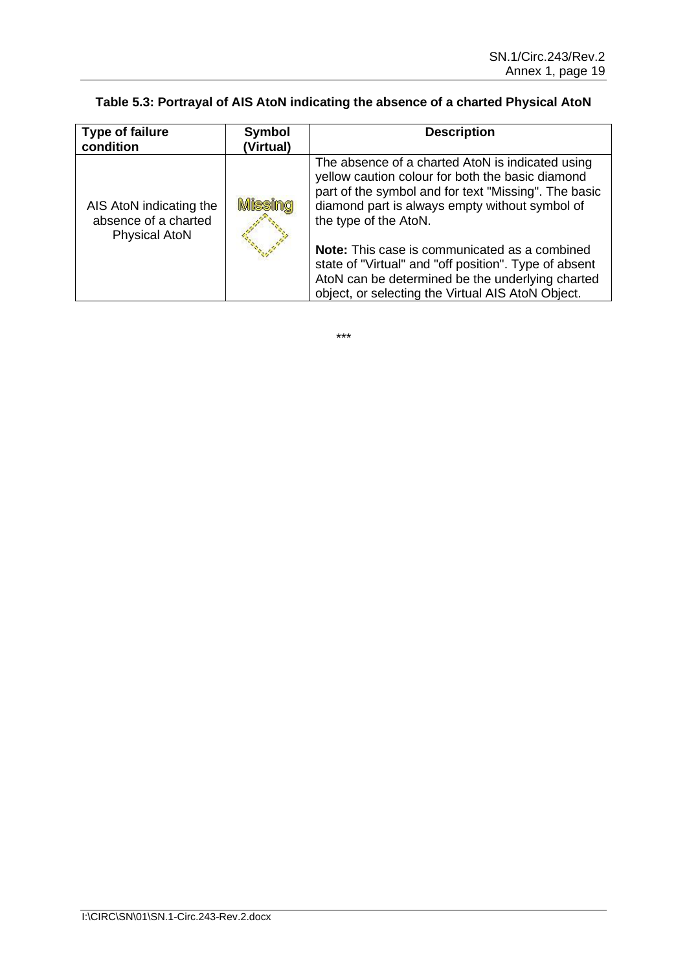# **Table 5.3: Portrayal of AIS AtoN indicating the absence of a charted Physical AtoN**

| <b>Type of failure</b><br>condition                                     | <b>Symbol</b><br>(Virtual) | <b>Description</b>                                                                                                                                                                                                                      |
|-------------------------------------------------------------------------|----------------------------|-----------------------------------------------------------------------------------------------------------------------------------------------------------------------------------------------------------------------------------------|
| AIS AtoN indicating the<br>absence of a charted<br><b>Physical AtoN</b> | Missina                    | The absence of a charted AtoN is indicated using<br>yellow caution colour for both the basic diamond<br>part of the symbol and for text "Missing". The basic<br>diamond part is always empty without symbol of<br>the type of the AtoN. |
|                                                                         |                            | Note: This case is communicated as a combined<br>state of "Virtual" and "off position". Type of absent<br>AtoN can be determined be the underlying charted<br>object, or selecting the Virtual AIS AtoN Object.                         |

\*\*\*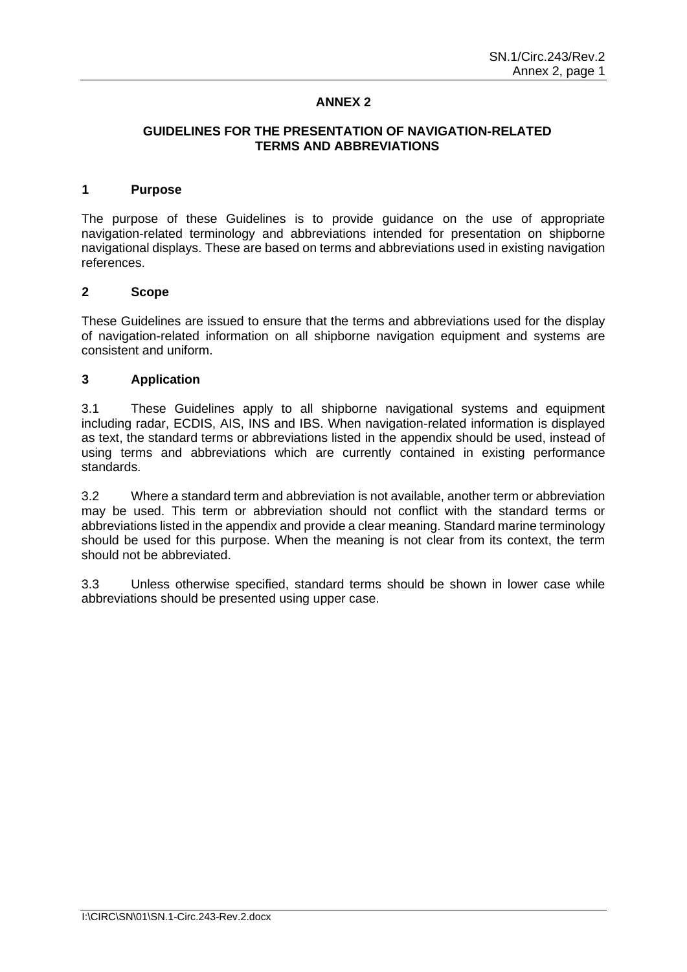### **ANNEX 2**

#### **GUIDELINES FOR THE PRESENTATION OF NAVIGATION-RELATED TERMS AND ABBREVIATIONS**

#### **1 Purpose**

The purpose of these Guidelines is to provide guidance on the use of appropriate navigation-related terminology and abbreviations intended for presentation on shipborne navigational displays. These are based on terms and abbreviations used in existing navigation references.

#### **2 Scope**

These Guidelines are issued to ensure that the terms and abbreviations used for the display of navigation-related information on all shipborne navigation equipment and systems are consistent and uniform.

#### **3 Application**

3.1 These Guidelines apply to all shipborne navigational systems and equipment including radar, ECDIS, AIS, INS and IBS. When navigation-related information is displayed as text, the standard terms or abbreviations listed in the appendix should be used, instead of using terms and abbreviations which are currently contained in existing performance standards.

3.2 Where a standard term and abbreviation is not available, another term or abbreviation may be used. This term or abbreviation should not conflict with the standard terms or abbreviations listed in the appendix and provide a clear meaning. Standard marine terminology should be used for this purpose. When the meaning is not clear from its context, the term should not be abbreviated.

3.3 Unless otherwise specified, standard terms should be shown in lower case while abbreviations should be presented using upper case.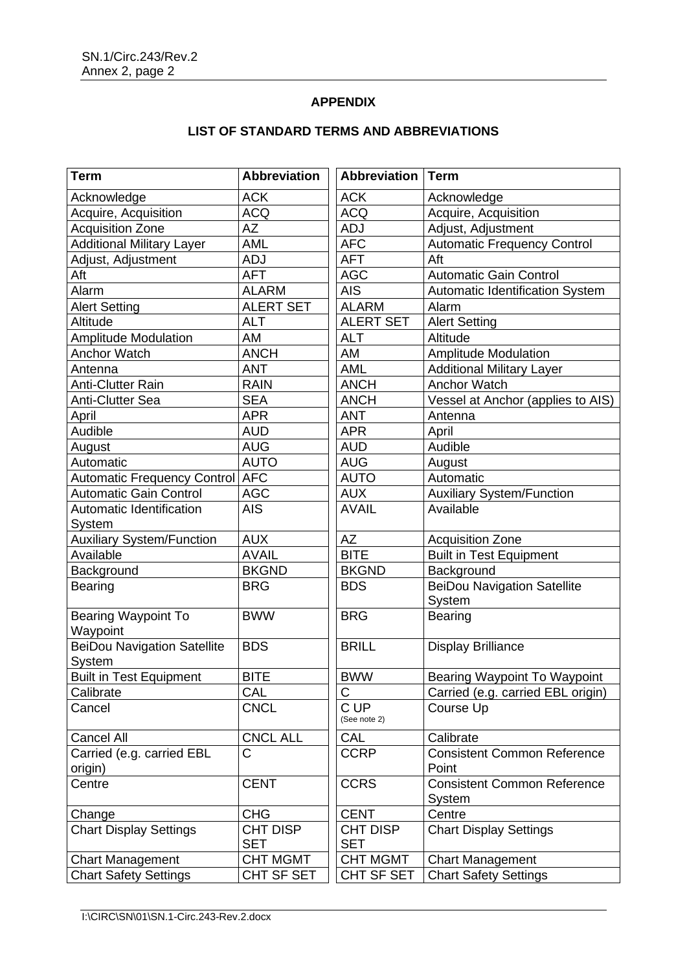## **APPENDIX**

| <b>Term</b>                            | <b>Abbreviation</b> | <b>Abbreviation</b>  | <b>Term</b>                                  |
|----------------------------------------|---------------------|----------------------|----------------------------------------------|
| Acknowledge                            | <b>ACK</b>          | <b>ACK</b>           | Acknowledge                                  |
| Acquire, Acquisition                   | <b>ACQ</b>          | <b>ACQ</b>           | Acquire, Acquisition                         |
| <b>Acquisition Zone</b>                | AZ                  | <b>ADJ</b>           | Adjust, Adjustment                           |
| <b>Additional Military Layer</b>       | AML                 | <b>AFC</b>           | <b>Automatic Frequency Control</b>           |
| Adjust, Adjustment                     | <b>ADJ</b>          | <b>AFT</b>           | Aft                                          |
| Aft                                    | <b>AFT</b>          | <b>AGC</b>           | <b>Automatic Gain Control</b>                |
| Alarm                                  | <b>ALARM</b>        | <b>AIS</b>           | Automatic Identification System              |
| <b>Alert Setting</b>                   | <b>ALERT SET</b>    | <b>ALARM</b>         | Alarm                                        |
| Altitude                               | <b>ALT</b>          | <b>ALERT SET</b>     | <b>Alert Setting</b>                         |
| <b>Amplitude Modulation</b>            | AM                  | <b>ALT</b>           | Altitude                                     |
| <b>Anchor Watch</b>                    | <b>ANCH</b>         | AM                   | <b>Amplitude Modulation</b>                  |
| Antenna                                | <b>ANT</b>          | <b>AML</b>           | <b>Additional Military Layer</b>             |
| <b>Anti-Clutter Rain</b>               | <b>RAIN</b>         | <b>ANCH</b>          | <b>Anchor Watch</b>                          |
| <b>Anti-Clutter Sea</b>                | <b>SEA</b>          | <b>ANCH</b>          | Vessel at Anchor (applies to AIS)            |
| April                                  | <b>APR</b>          | <b>ANT</b>           | Antenna                                      |
| Audible                                | <b>AUD</b>          | <b>APR</b>           | April                                        |
| August                                 | <b>AUG</b>          | <b>AUD</b>           | Audible                                      |
| Automatic                              | AUTO                | <b>AUG</b>           | August                                       |
| <b>Automatic Frequency Control AFC</b> |                     | <b>AUTO</b>          | Automatic                                    |
| <b>Automatic Gain Control</b>          | <b>AGC</b>          | <b>AUX</b>           | <b>Auxiliary System/Function</b>             |
| Automatic Identification               | <b>AIS</b>          | <b>AVAIL</b>         | Available                                    |
| System                                 |                     |                      |                                              |
| <b>Auxiliary System/Function</b>       | <b>AUX</b>          | <b>AZ</b>            | <b>Acquisition Zone</b>                      |
| Available                              | <b>AVAIL</b>        | <b>BITE</b>          | <b>Built in Test Equipment</b>               |
| Background                             | <b>BKGND</b>        | <b>BKGND</b>         | Background                                   |
| <b>Bearing</b>                         | <b>BRG</b>          | <b>BDS</b>           | <b>BeiDou Navigation Satellite</b><br>System |
| <b>Bearing Waypoint To</b>             | <b>BWW</b>          | <b>BRG</b>           | <b>Bearing</b>                               |
| Waypoint                               |                     |                      |                                              |
| <b>BeiDou Navigation Satellite</b>     | <b>BDS</b>          | <b>BRILL</b>         | <b>Display Brilliance</b>                    |
| System                                 |                     |                      |                                              |
| <b>Built in Test Equipment</b>         | <b>BITE</b>         | <b>BWW</b>           | Bearing Waypoint To Waypoint                 |
| Calibrate                              | CAL                 | С                    | Carried (e.g. carried EBL origin)            |
| Cancel                                 | <b>CNCL</b>         | C UP<br>(See note 2) | Course Up                                    |
| <b>Cancel All</b>                      | <b>CNCL ALL</b>     | CAL                  | Calibrate                                    |
| Carried (e.g. carried EBL              | Ć                   | <b>CCRP</b>          | <b>Consistent Common Reference</b>           |
| origin)                                |                     |                      | Point                                        |
| Centre                                 | <b>CENT</b>         | <b>CCRS</b>          | <b>Consistent Common Reference</b>           |
|                                        |                     |                      | System                                       |
| Change                                 | <b>CHG</b>          | <b>CENT</b>          | Centre                                       |
| <b>Chart Display Settings</b>          | CHT DISP            | <b>CHT DISP</b>      | <b>Chart Display Settings</b>                |
|                                        | <b>SET</b>          | <b>SET</b>           |                                              |
| <b>Chart Management</b>                | <b>CHT MGMT</b>     | <b>CHT MGMT</b>      | <b>Chart Management</b>                      |
| <b>Chart Safety Settings</b>           | CHT SF SET          | CHT SF SET           | <b>Chart Safety Settings</b>                 |

# **LIST OF STANDARD TERMS AND ABBREVIATIONS**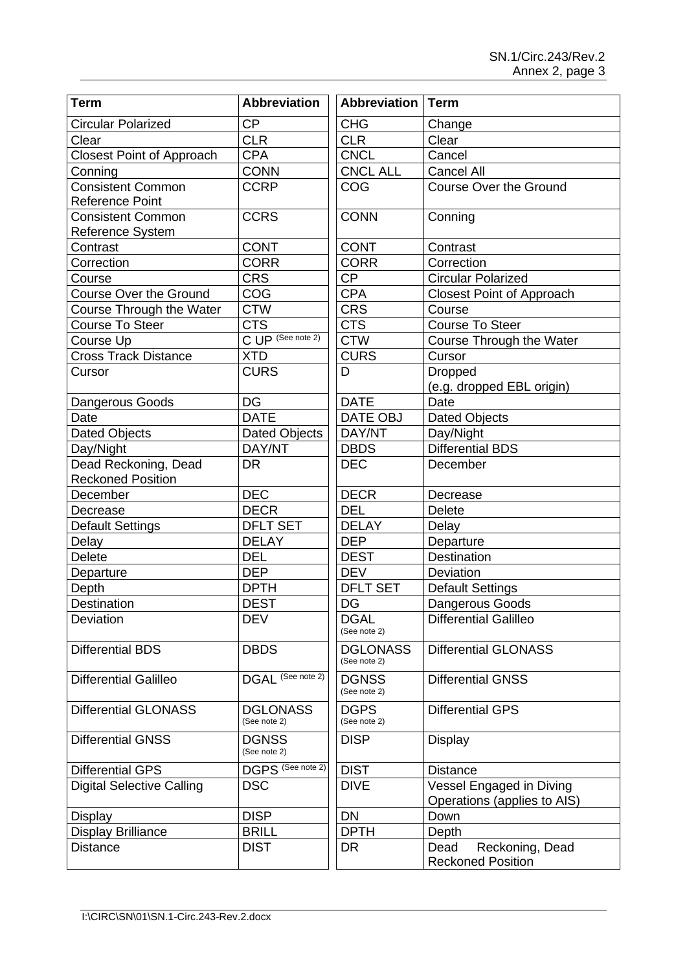| <b>Term</b>                      | <b>Abbreviation</b>             | <b>Abbreviation</b>             | Term                                                    |
|----------------------------------|---------------------------------|---------------------------------|---------------------------------------------------------|
| <b>Circular Polarized</b>        | <b>CP</b>                       | <b>CHG</b>                      | Change                                                  |
| Clear                            | <b>CLR</b>                      | <b>CLR</b>                      | Clear                                                   |
| <b>Closest Point of Approach</b> | <b>CPA</b>                      | <b>CNCL</b>                     | Cancel                                                  |
| Conning                          | <b>CONN</b>                     | <b>CNCL ALL</b>                 | <b>Cancel All</b>                                       |
| <b>Consistent Common</b>         | <b>CCRP</b>                     | COG                             | <b>Course Over the Ground</b>                           |
| <b>Reference Point</b>           |                                 |                                 |                                                         |
| <b>Consistent Common</b>         | <b>CCRS</b>                     | <b>CONN</b>                     | Conning                                                 |
| <b>Reference System</b>          |                                 |                                 |                                                         |
| Contrast                         | <b>CONT</b>                     | <b>CONT</b>                     | Contrast                                                |
| Correction                       | <b>CORR</b>                     | <b>CORR</b>                     | Correction                                              |
| Course                           | <b>CRS</b>                      | <b>CP</b>                       | <b>Circular Polarized</b>                               |
| <b>Course Over the Ground</b>    | COG                             | <b>CPA</b>                      | <b>Closest Point of Approach</b>                        |
| Course Through the Water         | <b>CTW</b>                      | <b>CRS</b>                      | Course                                                  |
| <b>Course To Steer</b>           | <b>CTS</b>                      | <b>CTS</b>                      | <b>Course To Steer</b>                                  |
| Course Up                        | C UP (See note 2)               | <b>CTW</b>                      | Course Through the Water                                |
| <b>Cross Track Distance</b>      | <b>XTD</b>                      | <b>CURS</b>                     | Cursor                                                  |
| Cursor                           | <b>CURS</b>                     | D                               | <b>Dropped</b>                                          |
|                                  |                                 |                                 | (e.g. dropped EBL origin)                               |
| Dangerous Goods                  | DG                              | <b>DATE</b>                     | Date                                                    |
| Date                             | <b>DATE</b>                     | <b>DATE OBJ</b>                 | <b>Dated Objects</b>                                    |
| <b>Dated Objects</b>             | <b>Dated Objects</b>            | DAY/NT                          | Day/Night                                               |
| Day/Night                        | DAY/NT                          | <b>DBDS</b>                     | <b>Differential BDS</b>                                 |
| Dead Reckoning, Dead             | <b>DR</b>                       | <b>DEC</b>                      | December                                                |
| <b>Reckoned Position</b>         |                                 |                                 |                                                         |
| December                         | <b>DEC</b>                      | <b>DECR</b>                     | Decrease                                                |
| Decrease                         | <b>DECR</b>                     | <b>DEL</b>                      | <b>Delete</b>                                           |
| <b>Default Settings</b>          | <b>DFLT SET</b>                 | <b>DELAY</b>                    | Delay                                                   |
| Delay                            | <b>DELAY</b>                    | <b>DEP</b>                      | Departure                                               |
| <b>Delete</b>                    | <b>DEL</b>                      | <b>DEST</b>                     | Destination                                             |
| Departure                        | <b>DEP</b>                      | <b>DEV</b>                      | Deviation                                               |
| Depth                            | <b>DPTH</b>                     | <b>DFLT SET</b>                 | <b>Default Settings</b>                                 |
| Destination                      | <b>DEST</b>                     | DG                              | Dangerous Goods                                         |
| Deviation                        | <b>DEV</b>                      | <b>DGAL</b><br>(See note 2)     | <b>Differential Galilleo</b>                            |
| <b>Differential BDS</b>          | <b>DBDS</b>                     | <b>DGLONASS</b><br>(See note 2) | <b>Differential GLONASS</b>                             |
| <b>Differential Galilleo</b>     | DGAL <sup>(See note 2)</sup>    | <b>DGNSS</b><br>(See note 2)    | <b>Differential GNSS</b>                                |
| <b>Differential GLONASS</b>      | <b>DGLONASS</b><br>(See note 2) | <b>DGPS</b><br>(See note 2)     | <b>Differential GPS</b>                                 |
| <b>Differential GNSS</b>         | <b>DGNSS</b><br>(See note 2)    | <b>DISP</b>                     | <b>Display</b>                                          |
| <b>Differential GPS</b>          | DGPS (See note 2)               | <b>DIST</b>                     | <b>Distance</b>                                         |
| <b>Digital Selective Calling</b> | <b>DSC</b>                      | <b>DIVE</b>                     | Vessel Engaged in Diving<br>Operations (applies to AIS) |
| <b>Display</b>                   | <b>DISP</b>                     | <b>DN</b>                       | Down                                                    |
| <b>Display Brilliance</b>        | <b>BRILL</b>                    | <b>DPTH</b>                     | Depth                                                   |
| <b>Distance</b>                  | <b>DIST</b>                     | DR                              | Dead<br>Reckoning, Dead                                 |
|                                  |                                 |                                 | <b>Reckoned Position</b>                                |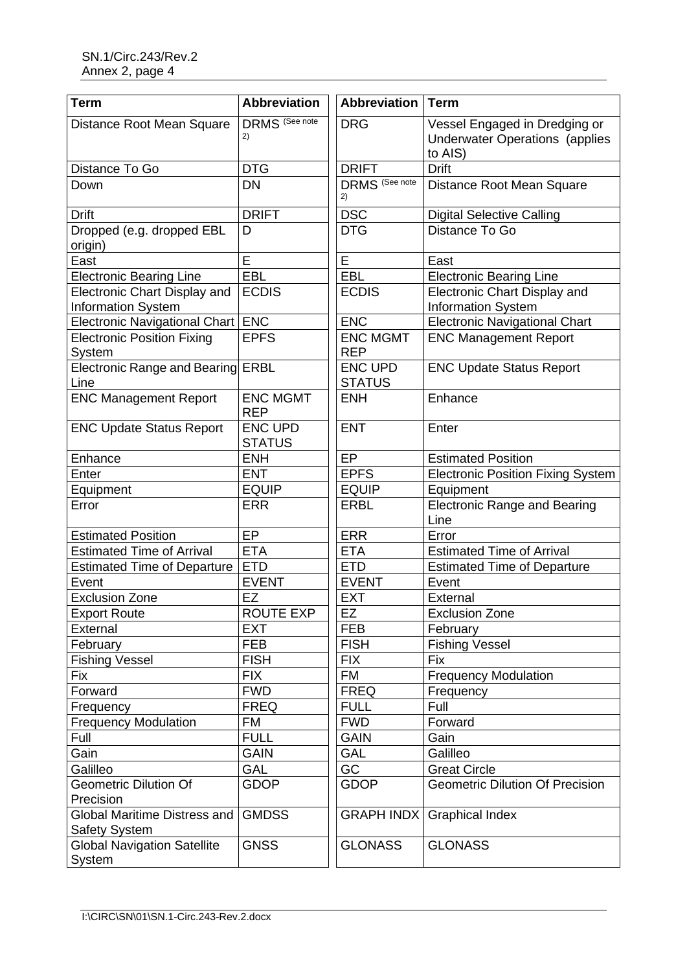| <b>Abbreviation</b>             | <b>Abbreviation</b>                                                                                                                 | <b>Term</b>                                                                       |
|---------------------------------|-------------------------------------------------------------------------------------------------------------------------------------|-----------------------------------------------------------------------------------|
| <b>DRMS</b> (See note<br>2)     | <b>DRG</b>                                                                                                                          | Vessel Engaged in Dredging or<br><b>Underwater Operations (applies</b><br>to AIS) |
| <b>DTG</b>                      | <b>DRIFT</b>                                                                                                                        | <b>Drift</b>                                                                      |
| <b>DN</b>                       | DRMS <sup>(See note)</sup><br>2)                                                                                                    | Distance Root Mean Square                                                         |
| <b>DRIFT</b>                    | <b>DSC</b>                                                                                                                          | <b>Digital Selective Calling</b>                                                  |
| D                               | <b>DTG</b>                                                                                                                          | Distance To Go                                                                    |
| E                               | E                                                                                                                                   | East                                                                              |
| EBL                             | EBL                                                                                                                                 | <b>Electronic Bearing Line</b>                                                    |
| <b>ECDIS</b>                    | <b>ECDIS</b>                                                                                                                        | Electronic Chart Display and<br>Information System                                |
| <b>ENC</b>                      | <b>ENC</b>                                                                                                                          | <b>Electronic Navigational Chart</b>                                              |
| <b>EPFS</b>                     | <b>ENC MGMT</b><br><b>REP</b>                                                                                                       | <b>ENC Management Report</b>                                                      |
| <b>ERBL</b>                     | <b>ENC UPD</b><br><b>STATUS</b>                                                                                                     | <b>ENC Update Status Report</b>                                                   |
| <b>ENC MGMT</b><br><b>REP</b>   | <b>ENH</b>                                                                                                                          | Enhance                                                                           |
| <b>ENC UPD</b><br><b>STATUS</b> | <b>ENT</b>                                                                                                                          | Enter                                                                             |
| <b>ENH</b>                      | EP                                                                                                                                  | <b>Estimated Position</b>                                                         |
| <b>ENT</b>                      | <b>EPFS</b>                                                                                                                         | <b>Electronic Position Fixing System</b>                                          |
| <b>EQUIP</b>                    | <b>EQUIP</b>                                                                                                                        | Equipment                                                                         |
| <b>ERR</b>                      | <b>ERBL</b>                                                                                                                         | <b>Electronic Range and Bearing</b><br>Line                                       |
| EP                              | <b>ERR</b>                                                                                                                          | Error                                                                             |
| <b>ETA</b>                      | <b>ETA</b>                                                                                                                          | <b>Estimated Time of Arrival</b>                                                  |
| <b>ETD</b>                      | <b>ETD</b>                                                                                                                          | <b>Estimated Time of Departure</b>                                                |
| <b>EVENT</b>                    | <b>EVENT</b>                                                                                                                        | Event                                                                             |
| EZ                              | <b>EXT</b>                                                                                                                          | External                                                                          |
| ROUTE EXP                       | EZ                                                                                                                                  | <b>Exclusion Zone</b>                                                             |
| <b>EXT</b>                      | <b>FEB</b>                                                                                                                          | February                                                                          |
| <b>FEB</b>                      | <b>FISH</b>                                                                                                                         | <b>Fishing Vessel</b>                                                             |
| <b>FISH</b>                     | <b>FIX</b>                                                                                                                          | <b>Fix</b>                                                                        |
| <b>FIX</b>                      | FM                                                                                                                                  | <b>Frequency Modulation</b>                                                       |
| <b>FWD</b>                      | <b>FREQ</b>                                                                                                                         | Frequency                                                                         |
| <b>FREQ</b>                     | <b>FULL</b>                                                                                                                         | Full                                                                              |
| FM                              | <b>FWD</b>                                                                                                                          | Forward                                                                           |
| <b>FULL</b>                     | <b>GAIN</b>                                                                                                                         | Gain                                                                              |
| <b>GAIN</b>                     | <b>GAL</b>                                                                                                                          | Galilleo                                                                          |
| GAL                             | GC                                                                                                                                  | <b>Great Circle</b>                                                               |
| <b>GDOP</b>                     | <b>GDOP</b>                                                                                                                         | <b>Geometric Dilution Of Precision</b>                                            |
| <b>GMDSS</b>                    | <b>GRAPH INDX</b>                                                                                                                   | <b>Graphical Index</b>                                                            |
|                                 |                                                                                                                                     |                                                                                   |
| <b>GNSS</b>                     | <b>GLONASS</b>                                                                                                                      | <b>GLONASS</b>                                                                    |
|                                 | Electronic Navigational Chart<br>Electronic Range and Bearing<br><b>Estimated Time of Departure</b><br>Global Maritime Distress and |                                                                                   |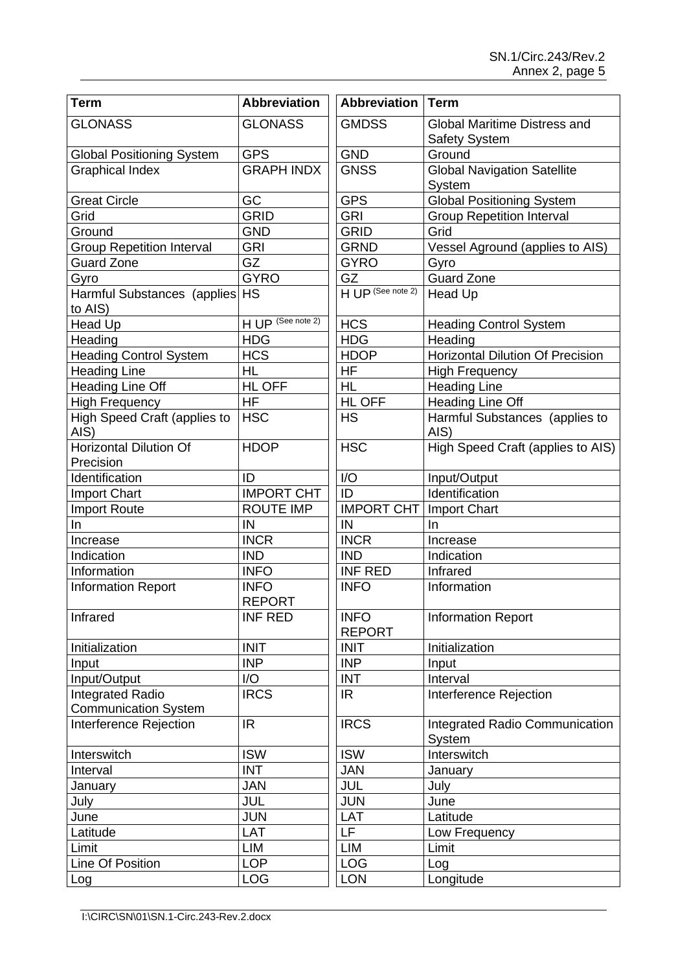| <b>Term</b>                                     | <b>Abbreviation</b>          | <b>Abbreviation</b>          | <b>Term</b>                                     |
|-------------------------------------------------|------------------------------|------------------------------|-------------------------------------------------|
| <b>GLONASS</b>                                  | <b>GLONASS</b>               | <b>GMDSS</b>                 | <b>Global Maritime Distress and</b>             |
|                                                 |                              |                              | <b>Safety System</b>                            |
| <b>Global Positioning System</b>                | <b>GPS</b>                   | <b>GND</b>                   | Ground                                          |
| <b>Graphical Index</b>                          | <b>GRAPH INDX</b>            | <b>GNSS</b>                  | <b>Global Navigation Satellite</b>              |
|                                                 |                              |                              | System                                          |
| <b>Great Circle</b>                             | GC                           | <b>GPS</b>                   | <b>Global Positioning System</b>                |
| Grid                                            | <b>GRID</b>                  | <b>GRI</b>                   | <b>Group Repetition Interval</b>                |
| Ground                                          | <b>GND</b>                   | <b>GRID</b>                  | Grid                                            |
| <b>Group Repetition Interval</b>                | <b>GRI</b>                   | <b>GRND</b>                  | Vessel Aground (applies to AIS)                 |
| <b>Guard Zone</b>                               | GZ                           | <b>GYRO</b>                  | Gyro                                            |
| Gyro                                            | <b>GYRO</b>                  | GZ                           | <b>Guard Zone</b>                               |
| Harmful Substances (applies<br>to AIS)          | <b>HS</b>                    | HUP (See note 2)             | Head Up                                         |
| <b>Head Up</b>                                  | HUP (See note 2)             | <b>HCS</b>                   | <b>Heading Control System</b>                   |
| Heading                                         | <b>HDG</b>                   | <b>HDG</b>                   | Heading                                         |
| <b>Heading Control System</b>                   | <b>HCS</b>                   | <b>HDOP</b>                  | <b>Horizontal Dilution Of Precision</b>         |
| <b>Heading Line</b>                             | <b>HL</b>                    | HF                           | <b>High Frequency</b>                           |
| Heading Line Off                                | HL OFF                       | <b>HL</b>                    | <b>Heading Line</b>                             |
| <b>High Frequency</b>                           | <b>HF</b>                    | HL OFF                       | <b>Heading Line Off</b>                         |
| High Speed Craft (applies to<br>AIS)            | <b>HSC</b>                   | <b>HS</b>                    | Harmful Substances (applies to<br>AIS)          |
| <b>Horizontal Dilution Of</b><br>Precision      | <b>HDOP</b>                  | <b>HSC</b>                   | High Speed Craft (applies to AIS)               |
| Identification                                  | ID                           | I/O                          | Input/Output                                    |
| <b>Import Chart</b>                             | <b>IMPORT CHT</b>            | ID                           | Identification                                  |
| <b>Import Route</b>                             | <b>ROUTE IMP</b>             | <b>IMPORT CHT</b>            | <b>Import Chart</b>                             |
| In.                                             | IN                           | IN                           | In.                                             |
| Increase                                        | <b>INCR</b>                  | <b>INCR</b>                  | Increase                                        |
| Indication                                      | <b>IND</b>                   | <b>IND</b>                   | Indication                                      |
| Information                                     | <b>INFO</b>                  | <b>INF RED</b>               | Infrared                                        |
| <b>Information Report</b>                       | <b>INFO</b><br><b>REPORT</b> | <b>INFO</b>                  | Information                                     |
| Infrared                                        | <b>INF RED</b>               | <b>INFO</b><br><b>REPORT</b> | <b>Information Report</b>                       |
| Initialization                                  | <b>INIT</b>                  | <b>INIT</b>                  | Initialization                                  |
| Input                                           | <b>INP</b>                   | <b>INP</b>                   | Input                                           |
| Input/Output                                    | I/O                          | <b>INT</b>                   | Interval                                        |
| Integrated Radio<br><b>Communication System</b> | <b>IRCS</b>                  | <b>IR</b>                    | Interference Rejection                          |
| Interference Rejection                          | <b>IR</b>                    | <b>IRCS</b>                  | <b>Integrated Radio Communication</b><br>System |
| Interswitch                                     | <b>ISW</b>                   | <b>ISW</b>                   | Interswitch                                     |
| Interval                                        | <b>INT</b>                   | JAN                          | January                                         |
| January                                         | JAN                          | JUL                          | July                                            |
| July                                            | JUL                          | <b>JUN</b>                   | June                                            |
| June                                            | <b>JUN</b>                   | LAT                          | Latitude                                        |
| Latitude                                        | LAT                          | $\overline{\mathsf{LF}}$     | Low Frequency                                   |
| Limit                                           | LIM                          | LIM                          | Limit                                           |
| Line Of Position                                | <b>LOP</b>                   | <b>LOG</b>                   | Log                                             |
| Log                                             | LOG                          | <b>LON</b>                   | Longitude                                       |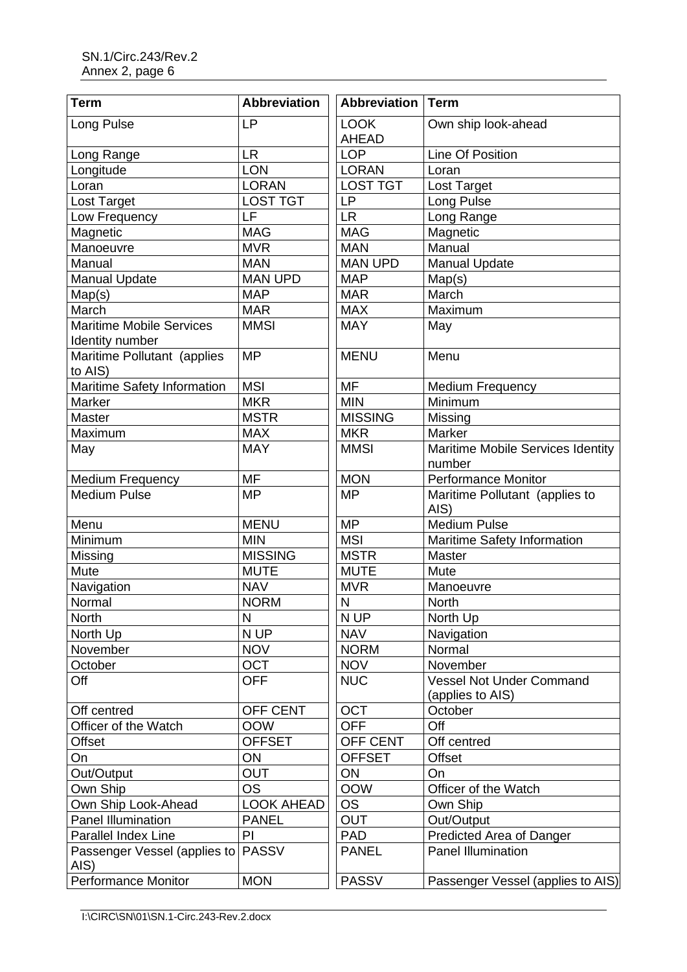| <b>Term</b>                                        | <b>Abbreviation</b> | <b>Abbreviation</b>         | Term                                        |
|----------------------------------------------------|---------------------|-----------------------------|---------------------------------------------|
| Long Pulse                                         | <b>LP</b>           | <b>LOOK</b><br><b>AHEAD</b> | Own ship look-ahead                         |
| Long Range                                         | <b>LR</b>           | <b>LOP</b>                  | <b>Line Of Position</b>                     |
| Longitude                                          | LON                 | <b>LORAN</b>                | Loran                                       |
| Loran                                              | <b>LORAN</b>        | <b>LOST TGT</b>             | Lost Target                                 |
| Lost Target                                        | <b>LOST TGT</b>     | LP                          | Long Pulse                                  |
| Low Frequency                                      | LF                  | <b>LR</b>                   | Long Range                                  |
| Magnetic                                           | <b>MAG</b>          | <b>MAG</b>                  | Magnetic                                    |
| Manoeuvre                                          | <b>MVR</b>          | <b>MAN</b>                  | Manual                                      |
| Manual                                             | <b>MAN</b>          | <b>MAN UPD</b>              | <b>Manual Update</b>                        |
| <b>Manual Update</b>                               | <b>MAN UPD</b>      | <b>MAP</b>                  | Map(s)                                      |
| Map(s)                                             | <b>MAP</b>          | <b>MAR</b>                  | March                                       |
| March                                              | <b>MAR</b>          | <b>MAX</b>                  | Maximum                                     |
| <b>Maritime Mobile Services</b><br>Identity number | <b>MMSI</b>         | <b>MAY</b>                  | May                                         |
| Maritime Pollutant (applies<br>to AIS)             | <b>MP</b>           | <b>MENU</b>                 | Menu                                        |
| Maritime Safety Information                        | <b>MSI</b>          | <b>MF</b>                   | <b>Medium Frequency</b>                     |
| Marker                                             | <b>MKR</b>          | <b>MIN</b>                  | Minimum                                     |
| Master                                             | <b>MSTR</b>         | <b>MISSING</b>              | Missing                                     |
| Maximum                                            | <b>MAX</b>          | <b>MKR</b>                  | Marker                                      |
| May                                                | <b>MAY</b>          | <b>MMSI</b>                 | Maritime Mobile Services Identity<br>number |
| <b>Medium Frequency</b>                            | <b>MF</b>           | <b>MON</b>                  | <b>Performance Monitor</b>                  |
| <b>Medium Pulse</b>                                | <b>MP</b>           | <b>MP</b>                   | Maritime Pollutant (applies to<br>AIS)      |
| Menu                                               | <b>MENU</b>         | <b>MP</b>                   | <b>Medium Pulse</b>                         |
| Minimum                                            | <b>MIN</b>          | <b>MSI</b>                  | Maritime Safety Information                 |
| Missing                                            | <b>MISSING</b>      | <b>MSTR</b>                 | Master                                      |
| Mute                                               | <b>MUTE</b>         | <b>MUTE</b>                 | Mute                                        |
| Navigation                                         | <b>NAV</b>          | <b>MVR</b>                  | Manoeuvre                                   |
| Normal                                             | <b>NORM</b>         | $\mathsf{N}$                | North                                       |
| <b>North</b>                                       | N                   | N UP                        | North Up                                    |
| North Up                                           | N UP                | <b>NAV</b>                  | Navigation                                  |
| November                                           | <b>NOV</b>          | <b>NORM</b>                 | Normal                                      |
| October                                            | <b>OCT</b>          | <b>NOV</b>                  | November                                    |
| Off                                                | <b>OFF</b>          | <b>NUC</b>                  | <b>Vessel Not Under Command</b>             |
|                                                    |                     |                             | (applies to AIS)                            |
| Off centred                                        | <b>OFF CENT</b>     | <b>OCT</b>                  | October                                     |
| Officer of the Watch                               | <b>OOW</b>          | <b>OFF</b>                  | Off                                         |
| Offset                                             | <b>OFFSET</b>       | <b>OFF CENT</b>             | Off centred                                 |
| On                                                 | ON                  | <b>OFFSET</b>               | <b>Offset</b>                               |
| Out/Output                                         | <b>OUT</b>          | ON                          | On                                          |
| Own Ship                                           | <b>OS</b>           | <b>OOW</b>                  | Officer of the Watch                        |
| Own Ship Look-Ahead                                | <b>LOOK AHEAD</b>   | <b>OS</b>                   | Own Ship                                    |
| Panel Illumination                                 | <b>PANEL</b>        | <b>OUT</b>                  | Out/Output                                  |
| Parallel Index Line                                | PI                  | <b>PAD</b>                  | Predicted Area of Danger                    |
| Passenger Vessel (applies to<br>AIS)               | <b>PASSV</b>        | <b>PANEL</b>                | <b>Panel Illumination</b>                   |
| <b>Performance Monitor</b>                         | <b>MON</b>          | <b>PASSV</b>                | Passenger Vessel (applies to AIS)           |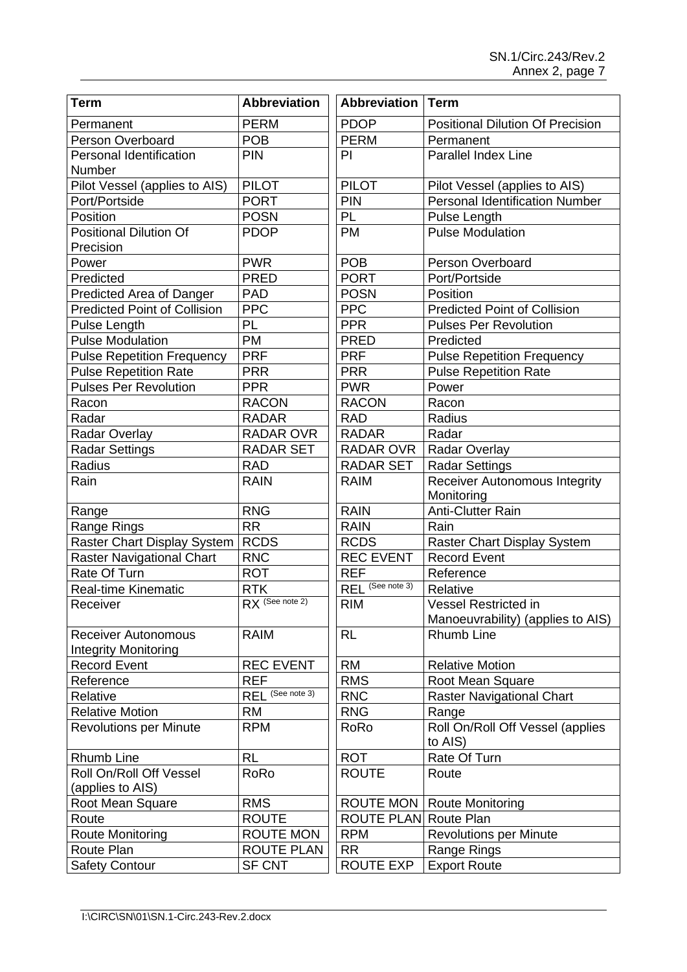| <b>PDOP</b><br><b>PERM</b><br><b>Positional Dilution Of Precision</b><br>Permanent<br><b>PERM</b><br><b>POB</b><br>Person Overboard<br>Permanent<br>Parallel Index Line<br><b>PIN</b><br>PI<br>Personal Identification<br>Number<br>Pilot Vessel (applies to AIS)<br><b>PILOT</b><br><b>PILOT</b><br>Pilot Vessel (applies to AIS)<br><b>PORT</b><br><b>PIN</b><br><b>Personal Identification Number</b><br>Port/Portside<br>PL<br><b>POSN</b><br>Position<br>Pulse Length<br><b>Positional Dilution Of</b><br><b>PDOP</b><br><b>PM</b><br><b>Pulse Modulation</b><br>Precision<br><b>PWR</b><br><b>POB</b><br>Person Overboard<br>Power<br><b>PRED</b><br><b>PORT</b><br>Predicted<br>Port/Portside<br><b>PAD</b><br><b>POSN</b><br>Position<br>Predicted Area of Danger<br><b>PPC</b><br><b>PPC</b><br><b>Predicted Point of Collision</b><br><b>Predicted Point of Collision</b><br><b>PPR</b><br>PL<br>Pulse Length<br><b>Pulses Per Revolution</b> | <b>Term</b>             | Abbreviation | <b>Abbreviation   Term</b> |           |
|---------------------------------------------------------------------------------------------------------------------------------------------------------------------------------------------------------------------------------------------------------------------------------------------------------------------------------------------------------------------------------------------------------------------------------------------------------------------------------------------------------------------------------------------------------------------------------------------------------------------------------------------------------------------------------------------------------------------------------------------------------------------------------------------------------------------------------------------------------------------------------------------------------------------------------------------------------|-------------------------|--------------|----------------------------|-----------|
|                                                                                                                                                                                                                                                                                                                                                                                                                                                                                                                                                                                                                                                                                                                                                                                                                                                                                                                                                         |                         |              |                            |           |
|                                                                                                                                                                                                                                                                                                                                                                                                                                                                                                                                                                                                                                                                                                                                                                                                                                                                                                                                                         |                         |              |                            |           |
|                                                                                                                                                                                                                                                                                                                                                                                                                                                                                                                                                                                                                                                                                                                                                                                                                                                                                                                                                         |                         |              |                            |           |
|                                                                                                                                                                                                                                                                                                                                                                                                                                                                                                                                                                                                                                                                                                                                                                                                                                                                                                                                                         |                         |              |                            |           |
|                                                                                                                                                                                                                                                                                                                                                                                                                                                                                                                                                                                                                                                                                                                                                                                                                                                                                                                                                         |                         |              |                            |           |
|                                                                                                                                                                                                                                                                                                                                                                                                                                                                                                                                                                                                                                                                                                                                                                                                                                                                                                                                                         |                         |              |                            |           |
|                                                                                                                                                                                                                                                                                                                                                                                                                                                                                                                                                                                                                                                                                                                                                                                                                                                                                                                                                         |                         |              |                            |           |
|                                                                                                                                                                                                                                                                                                                                                                                                                                                                                                                                                                                                                                                                                                                                                                                                                                                                                                                                                         |                         |              |                            |           |
|                                                                                                                                                                                                                                                                                                                                                                                                                                                                                                                                                                                                                                                                                                                                                                                                                                                                                                                                                         |                         |              |                            |           |
|                                                                                                                                                                                                                                                                                                                                                                                                                                                                                                                                                                                                                                                                                                                                                                                                                                                                                                                                                         |                         |              |                            |           |
|                                                                                                                                                                                                                                                                                                                                                                                                                                                                                                                                                                                                                                                                                                                                                                                                                                                                                                                                                         |                         |              |                            |           |
|                                                                                                                                                                                                                                                                                                                                                                                                                                                                                                                                                                                                                                                                                                                                                                                                                                                                                                                                                         |                         |              |                            |           |
|                                                                                                                                                                                                                                                                                                                                                                                                                                                                                                                                                                                                                                                                                                                                                                                                                                                                                                                                                         | <b>Pulse Modulation</b> | PM           | <b>PRED</b>                | Predicted |
| <b>PRF</b><br><b>PRF</b><br><b>Pulse Repetition Frequency</b><br><b>Pulse Repetition Frequency</b>                                                                                                                                                                                                                                                                                                                                                                                                                                                                                                                                                                                                                                                                                                                                                                                                                                                      |                         |              |                            |           |
| <b>Pulse Repetition Rate</b><br><b>PRR</b><br><b>PRR</b><br><b>Pulse Repetition Rate</b>                                                                                                                                                                                                                                                                                                                                                                                                                                                                                                                                                                                                                                                                                                                                                                                                                                                                |                         |              |                            |           |
| <b>Pulses Per Revolution</b><br><b>PWR</b><br><b>PPR</b><br>Power                                                                                                                                                                                                                                                                                                                                                                                                                                                                                                                                                                                                                                                                                                                                                                                                                                                                                       |                         |              |                            |           |
| <b>RACON</b><br><b>RACON</b><br>Racon<br>Racon                                                                                                                                                                                                                                                                                                                                                                                                                                                                                                                                                                                                                                                                                                                                                                                                                                                                                                          |                         |              |                            |           |
| Radar<br><b>RADAR</b><br><b>RAD</b><br>Radius                                                                                                                                                                                                                                                                                                                                                                                                                                                                                                                                                                                                                                                                                                                                                                                                                                                                                                           |                         |              |                            |           |
| <b>Radar Overlay</b><br><b>RADAR OVR</b><br><b>RADAR</b><br>Radar                                                                                                                                                                                                                                                                                                                                                                                                                                                                                                                                                                                                                                                                                                                                                                                                                                                                                       |                         |              |                            |           |
| RADAR OVR<br>Radar Overlay<br><b>Radar Settings</b><br><b>RADAR SET</b>                                                                                                                                                                                                                                                                                                                                                                                                                                                                                                                                                                                                                                                                                                                                                                                                                                                                                 |                         |              |                            |           |
| Radius<br><b>RAD</b><br><b>RADAR SET</b><br><b>Radar Settings</b>                                                                                                                                                                                                                                                                                                                                                                                                                                                                                                                                                                                                                                                                                                                                                                                                                                                                                       |                         |              |                            |           |
| Rain<br>Receiver Autonomous Integrity<br><b>RAIN</b><br><b>RAIM</b><br>Monitoring                                                                                                                                                                                                                                                                                                                                                                                                                                                                                                                                                                                                                                                                                                                                                                                                                                                                       |                         |              |                            |           |
| <b>RNG</b><br><b>RAIN</b><br><b>Anti-Clutter Rain</b><br>Range                                                                                                                                                                                                                                                                                                                                                                                                                                                                                                                                                                                                                                                                                                                                                                                                                                                                                          |                         |              |                            |           |
| <b>RR</b><br><b>RAIN</b><br>Rain<br>Range Rings                                                                                                                                                                                                                                                                                                                                                                                                                                                                                                                                                                                                                                                                                                                                                                                                                                                                                                         |                         |              |                            |           |
| <b>RCDS</b><br>Raster Chart Display System<br><b>RCDS</b><br><b>Raster Chart Display System</b>                                                                                                                                                                                                                                                                                                                                                                                                                                                                                                                                                                                                                                                                                                                                                                                                                                                         |                         |              |                            |           |
| <b>REC EVENT</b><br><b>Record Event</b><br><b>Raster Navigational Chart</b><br><b>RNC</b>                                                                                                                                                                                                                                                                                                                                                                                                                                                                                                                                                                                                                                                                                                                                                                                                                                                               |                         |              |                            |           |
| <b>REF</b><br>Rate Of Turn<br><b>ROT</b><br>Reference                                                                                                                                                                                                                                                                                                                                                                                                                                                                                                                                                                                                                                                                                                                                                                                                                                                                                                   |                         |              |                            |           |
| REL <sup>(See note 3)</sup><br><b>RTK</b><br><b>Real-time Kinematic</b><br>Relative                                                                                                                                                                                                                                                                                                                                                                                                                                                                                                                                                                                                                                                                                                                                                                                                                                                                     |                         |              |                            |           |
| RX (See note 2)<br><b>RIM</b><br>Vessel Restricted in<br>Receiver                                                                                                                                                                                                                                                                                                                                                                                                                                                                                                                                                                                                                                                                                                                                                                                                                                                                                       |                         |              |                            |           |
| Manoeuvrability) (applies to AIS)                                                                                                                                                                                                                                                                                                                                                                                                                                                                                                                                                                                                                                                                                                                                                                                                                                                                                                                       |                         |              |                            |           |
| <b>Rhumb Line</b><br><b>RAIM</b><br><b>RL</b><br><b>Receiver Autonomous</b><br><b>Integrity Monitoring</b>                                                                                                                                                                                                                                                                                                                                                                                                                                                                                                                                                                                                                                                                                                                                                                                                                                              |                         |              |                            |           |
| <b>RM</b><br><b>Record Event</b><br><b>REC EVENT</b><br><b>Relative Motion</b>                                                                                                                                                                                                                                                                                                                                                                                                                                                                                                                                                                                                                                                                                                                                                                                                                                                                          |                         |              |                            |           |
| <b>REF</b><br><b>RMS</b><br>Reference<br>Root Mean Square                                                                                                                                                                                                                                                                                                                                                                                                                                                                                                                                                                                                                                                                                                                                                                                                                                                                                               |                         |              |                            |           |
| REL <sup>(See note 3)</sup><br><b>RNC</b><br>Relative<br><b>Raster Navigational Chart</b>                                                                                                                                                                                                                                                                                                                                                                                                                                                                                                                                                                                                                                                                                                                                                                                                                                                               |                         |              |                            |           |
| <b>Relative Motion</b><br><b>RNG</b><br><b>RM</b><br>Range                                                                                                                                                                                                                                                                                                                                                                                                                                                                                                                                                                                                                                                                                                                                                                                                                                                                                              |                         |              |                            |           |
| Roll On/Roll Off Vessel (applies<br><b>Revolutions per Minute</b><br><b>RPM</b><br>RoRo<br>to AIS)                                                                                                                                                                                                                                                                                                                                                                                                                                                                                                                                                                                                                                                                                                                                                                                                                                                      |                         |              |                            |           |
| Rate Of Turn<br><b>ROT</b><br>Rhumb Line<br><b>RL</b>                                                                                                                                                                                                                                                                                                                                                                                                                                                                                                                                                                                                                                                                                                                                                                                                                                                                                                   |                         |              |                            |           |
| <b>ROUTE</b><br>Roll On/Roll Off Vessel<br>RoRo<br>Route<br>(applies to AIS)                                                                                                                                                                                                                                                                                                                                                                                                                                                                                                                                                                                                                                                                                                                                                                                                                                                                            |                         |              |                            |           |
| <b>RMS</b><br><b>ROUTE MON</b><br>Root Mean Square<br><b>Route Monitoring</b>                                                                                                                                                                                                                                                                                                                                                                                                                                                                                                                                                                                                                                                                                                                                                                                                                                                                           |                         |              |                            |           |
| <b>ROUTE</b><br>Route<br><b>ROUTE PLAN Route Plan</b>                                                                                                                                                                                                                                                                                                                                                                                                                                                                                                                                                                                                                                                                                                                                                                                                                                                                                                   |                         |              |                            |           |
| <b>Route Monitoring</b><br><b>ROUTE MON</b><br><b>RPM</b><br><b>Revolutions per Minute</b>                                                                                                                                                                                                                                                                                                                                                                                                                                                                                                                                                                                                                                                                                                                                                                                                                                                              |                         |              |                            |           |
| ROUTE PLAN<br>Route Plan<br><b>RR</b><br>Range Rings                                                                                                                                                                                                                                                                                                                                                                                                                                                                                                                                                                                                                                                                                                                                                                                                                                                                                                    |                         |              |                            |           |
| <b>SF CNT</b><br>ROUTE EXP<br><b>Export Route</b><br><b>Safety Contour</b>                                                                                                                                                                                                                                                                                                                                                                                                                                                                                                                                                                                                                                                                                                                                                                                                                                                                              |                         |              |                            |           |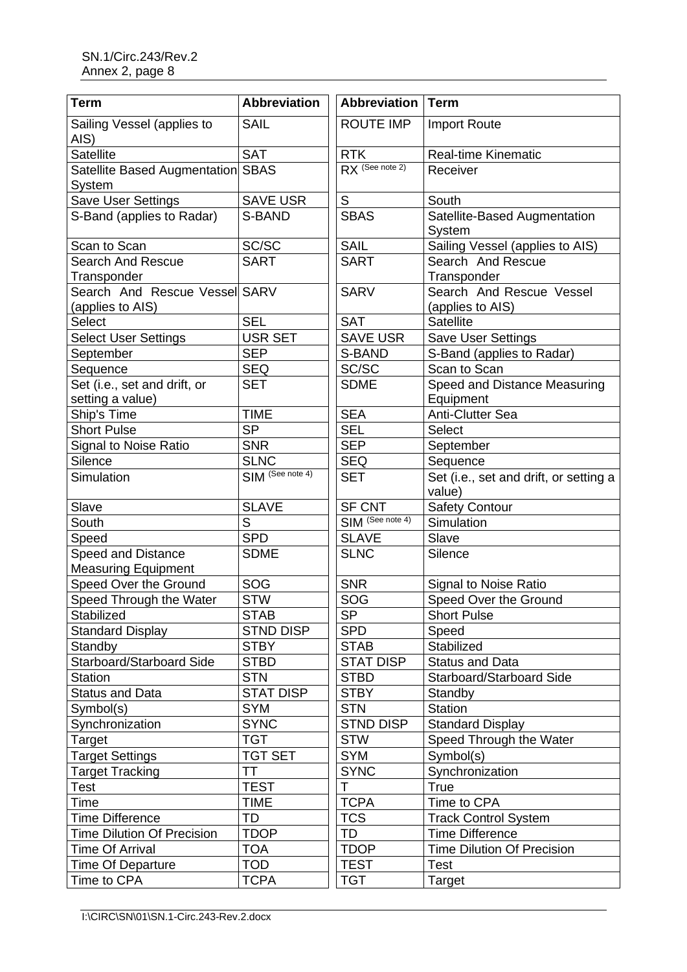| <b>Term</b>                                             | <b>Abbreviation</b> | <b>Abbreviation</b> | <b>Term</b>                                      |
|---------------------------------------------------------|---------------------|---------------------|--------------------------------------------------|
| Sailing Vessel (applies to<br>AIS)                      | <b>SAIL</b>         | <b>ROUTE IMP</b>    | <b>Import Route</b>                              |
| <b>Satellite</b>                                        | <b>SAT</b>          | <b>RTK</b>          | Real-time Kinematic                              |
| Satellite Based Augmentation SBAS<br>System             |                     | RX (See note 2)     | Receiver                                         |
| Save User Settings                                      | <b>SAVE USR</b>     | $\mathsf S$         | South                                            |
| S-Band (applies to Radar)                               | S-BAND              | <b>SBAS</b>         | Satellite-Based Augmentation<br>System           |
| Scan to Scan                                            | SC/SC               | <b>SAIL</b>         | Sailing Vessel (applies to AIS)                  |
| <b>Search And Rescue</b><br>Transponder                 | <b>SART</b>         | <b>SART</b>         | Search And Rescue<br>Transponder                 |
| Search And Rescue Vessel SARV<br>(applies to AIS)       |                     | <b>SARV</b>         | Search And Rescue Vessel<br>(applies to AIS)     |
| Select                                                  | <b>SEL</b>          | <b>SAT</b>          | <b>Satellite</b>                                 |
| <b>Select User Settings</b>                             | USR SET             | <b>SAVE USR</b>     | <b>Save User Settings</b>                        |
| September                                               | <b>SEP</b>          | S-BAND              | S-Band (applies to Radar)                        |
| Sequence                                                | <b>SEQ</b>          | SC/SC               | Scan to Scan                                     |
| Set (i.e., set and drift, or<br>setting a value)        | <b>SET</b>          | <b>SDME</b>         | Speed and Distance Measuring<br>Equipment        |
| Ship's Time                                             | <b>TIME</b>         | <b>SEA</b>          | <b>Anti-Clutter Sea</b>                          |
| <b>Short Pulse</b>                                      | <b>SP</b>           | <b>SEL</b>          | Select                                           |
| <b>Signal to Noise Ratio</b>                            | <b>SNR</b>          | <b>SEP</b>          | September                                        |
| Silence                                                 | <b>SLNC</b>         | <b>SEQ</b>          | Sequence                                         |
| Simulation                                              | SIM (See note 4)    | <b>SET</b>          | Set (i.e., set and drift, or setting a<br>value) |
| Slave                                                   | <b>SLAVE</b>        | <b>SF CNT</b>       | <b>Safety Contour</b>                            |
| South                                                   | S                   | SIM (See note 4)    | Simulation                                       |
| Speed                                                   | <b>SPD</b>          | <b>SLAVE</b>        | Slave                                            |
| <b>Speed and Distance</b><br><b>Measuring Equipment</b> | <b>SDME</b>         | <b>SLNC</b>         | Silence                                          |
| Speed Over the Ground                                   | SOG                 | <b>SNR</b>          | <b>Signal to Noise Ratio</b>                     |
| Speed Through the Water                                 | <b>STW</b>          | SOG                 | Speed Over the Ground                            |
| Stabilized                                              | <b>STAB</b>         | <b>SP</b>           | <b>Short Pulse</b>                               |
| <b>Standard Display</b>                                 | <b>STND DISP</b>    | <b>SPD</b>          | Speed                                            |
| Standby                                                 | <b>STBY</b>         | <b>STAB</b>         | Stabilized                                       |
| Starboard/Starboard Side                                | <b>STBD</b>         | <b>STAT DISP</b>    | <b>Status and Data</b>                           |
| <b>Station</b>                                          | <b>STN</b>          | <b>STBD</b>         | Starboard/Starboard Side                         |
| <b>Status and Data</b>                                  | <b>STAT DISP</b>    | <b>STBY</b>         | Standby                                          |
| Symbol(s)                                               | <b>SYM</b>          | <b>STN</b>          | <b>Station</b>                                   |
| Synchronization                                         | <b>SYNC</b>         | <b>STND DISP</b>    | <b>Standard Display</b>                          |
| Target                                                  | <b>TGT</b>          | <b>STW</b>          | Speed Through the Water                          |
| <b>Target Settings</b>                                  | <b>TGT SET</b>      | <b>SYM</b>          | Symbol(s)                                        |
| <b>Target Tracking</b>                                  | ТT                  | <b>SYNC</b>         | Synchronization                                  |
| Test                                                    | <b>TEST</b>         | T                   | <b>True</b>                                      |
| Time                                                    | <b>TIME</b>         | <b>TCPA</b>         | Time to CPA                                      |
| <b>Time Difference</b>                                  | <b>TD</b>           | <b>TCS</b>          | <b>Track Control System</b>                      |
| <b>Time Dilution Of Precision</b>                       | <b>TDOP</b>         | <b>TD</b>           | <b>Time Difference</b>                           |
| <b>Time Of Arrival</b>                                  | <b>TOA</b>          | <b>TDOP</b>         | <b>Time Dilution Of Precision</b>                |
| <b>Time Of Departure</b>                                | <b>TOD</b>          | <b>TEST</b>         | Test                                             |
| Time to CPA                                             | <b>TCPA</b>         | <b>TGT</b>          | Target                                           |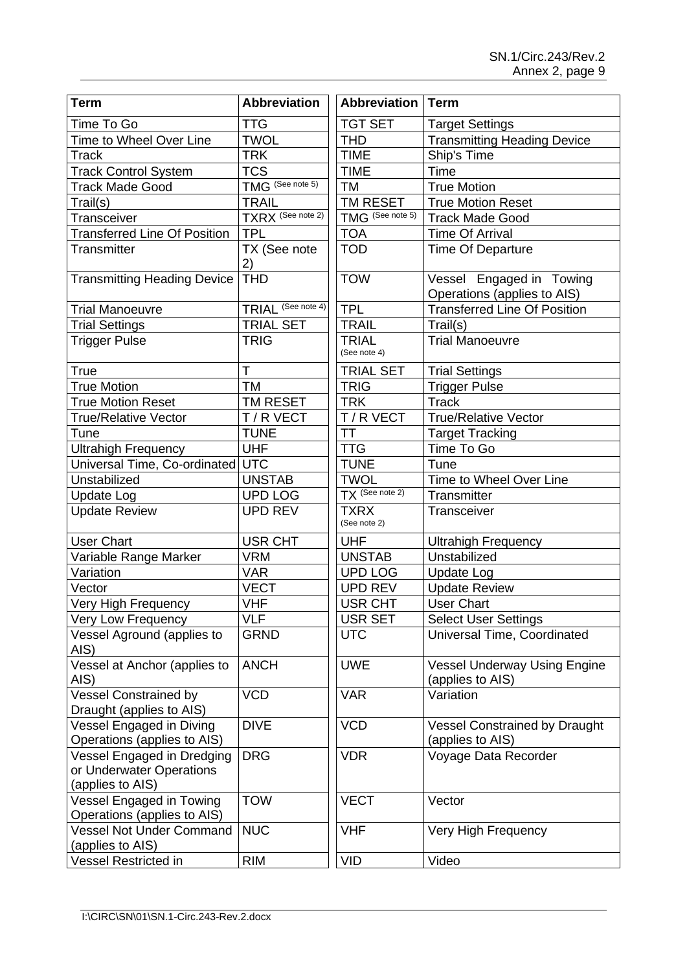| <b>Term</b>                                                                | <b>Abbreviation</b>           | <b>Abbreviation   Term</b>   |                                                          |
|----------------------------------------------------------------------------|-------------------------------|------------------------------|----------------------------------------------------------|
| Time To Go                                                                 | <b>TTG</b>                    | <b>TGT SET</b>               | <b>Target Settings</b>                                   |
| Time to Wheel Over Line                                                    | <b>TWOL</b>                   | THD                          | <b>Transmitting Heading Device</b>                       |
| <b>Track</b>                                                               | <b>TRK</b>                    | <b>TIME</b>                  | Ship's Time                                              |
| <b>Track Control System</b>                                                | <b>TCS</b>                    | <b>TIME</b>                  | Time                                                     |
| <b>Track Made Good</b>                                                     | TMG <sup>(See note 5)</sup>   | ТM                           | <b>True Motion</b>                                       |
| Trail(s)                                                                   | <b>TRAIL</b>                  | TM RESET                     | <b>True Motion Reset</b>                                 |
| Transceiver                                                                | TXRX (See note 2)             | TMG (See note 5)             | <b>Track Made Good</b>                                   |
| <b>Transferred Line Of Position</b>                                        | <b>TPL</b>                    | <b>TOA</b>                   | <b>Time Of Arrival</b>                                   |
| Transmitter                                                                | TX (See note<br>2)            | <b>TOD</b>                   | <b>Time Of Departure</b>                                 |
| <b>Transmitting Heading Device</b>                                         | <b>THD</b>                    | <b>TOW</b>                   | Vessel Engaged in Towing<br>Operations (applies to AIS)  |
| <b>Trial Manoeuvre</b>                                                     | TRIAL <sup>(See note 4)</sup> | <b>TPL</b>                   | <b>Transferred Line Of Position</b>                      |
| <b>Trial Settings</b>                                                      | <b>TRIAL SET</b>              | <b>TRAIL</b>                 | Trail(s)                                                 |
| <b>Trigger Pulse</b>                                                       | <b>TRIG</b>                   | <b>TRIAL</b><br>(See note 4) | <b>Trial Manoeuvre</b>                                   |
| <b>True</b>                                                                | T                             | <b>TRIAL SET</b>             | <b>Trial Settings</b>                                    |
| <b>True Motion</b>                                                         | <b>TM</b>                     | <b>TRIG</b>                  | <b>Trigger Pulse</b>                                     |
| <b>True Motion Reset</b>                                                   | TM RESET                      | <b>TRK</b>                   | <b>Track</b>                                             |
| <b>True/Relative Vector</b>                                                | T/R VECT                      | T / R VECT                   | <b>True/Relative Vector</b>                              |
| Tune                                                                       | <b>TUNE</b>                   | ТT                           | <b>Target Tracking</b>                                   |
| <b>Ultrahigh Frequency</b>                                                 | <b>UHF</b>                    | <b>TTG</b>                   | Time To Go                                               |
| Universal Time, Co-ordinated UTC                                           |                               | <b>TUNE</b>                  | Tune                                                     |
| Unstabilized                                                               | <b>UNSTAB</b>                 | <b>TWOL</b>                  | Time to Wheel Over Line                                  |
| <b>Update Log</b>                                                          | <b>UPD LOG</b>                | TX (See note 2)              | Transmitter                                              |
| <b>Update Review</b>                                                       | <b>UPD REV</b>                | <b>TXRX</b><br>(See note 2)  | Transceiver                                              |
| <b>User Chart</b>                                                          | <b>USR CHT</b>                | <b>UHF</b>                   | <b>Ultrahigh Frequency</b>                               |
| Variable Range Marker                                                      | <b>VRM</b>                    | <b>UNSTAB</b>                | Unstabilized                                             |
| Variation                                                                  | <b>VAR</b>                    | <b>UPD LOG</b>               | <b>Update Log</b>                                        |
| Vector                                                                     | <b>VECT</b>                   | <b>UPD REV</b>               | <b>Update Review</b>                                     |
| Very High Frequency                                                        | <b>VHF</b>                    | <b>USR CHT</b>               | <b>User Chart</b>                                        |
| Very Low Frequency                                                         | <b>VLF</b>                    | USR SET                      | <b>Select User Settings</b>                              |
| Vessel Aground (applies to<br>AIS)                                         | <b>GRND</b>                   | <b>UTC</b>                   | Universal Time, Coordinated                              |
| Vessel at Anchor (applies to<br>AIS)                                       | <b>ANCH</b>                   | <b>UWE</b>                   | <b>Vessel Underway Using Engine</b><br>(applies to AIS)  |
| <b>Vessel Constrained by</b><br>Draught (applies to AIS)                   | <b>VCD</b>                    | <b>VAR</b>                   | Variation                                                |
| Vessel Engaged in Diving<br>Operations (applies to AIS)                    | <b>DIVE</b>                   | <b>VCD</b>                   | <b>Vessel Constrained by Draught</b><br>(applies to AIS) |
| Vessel Engaged in Dredging<br>or Underwater Operations<br>(applies to AIS) | <b>DRG</b>                    | <b>VDR</b>                   | Voyage Data Recorder                                     |
| Vessel Engaged in Towing<br>Operations (applies to AIS)                    | <b>TOW</b>                    | <b>VECT</b>                  | Vector                                                   |
| <b>Vessel Not Under Command</b><br>(applies to AIS)                        | <b>NUC</b>                    | <b>VHF</b>                   | Very High Frequency                                      |
| Vessel Restricted in                                                       | <b>RIM</b>                    | <b>VID</b>                   | Video                                                    |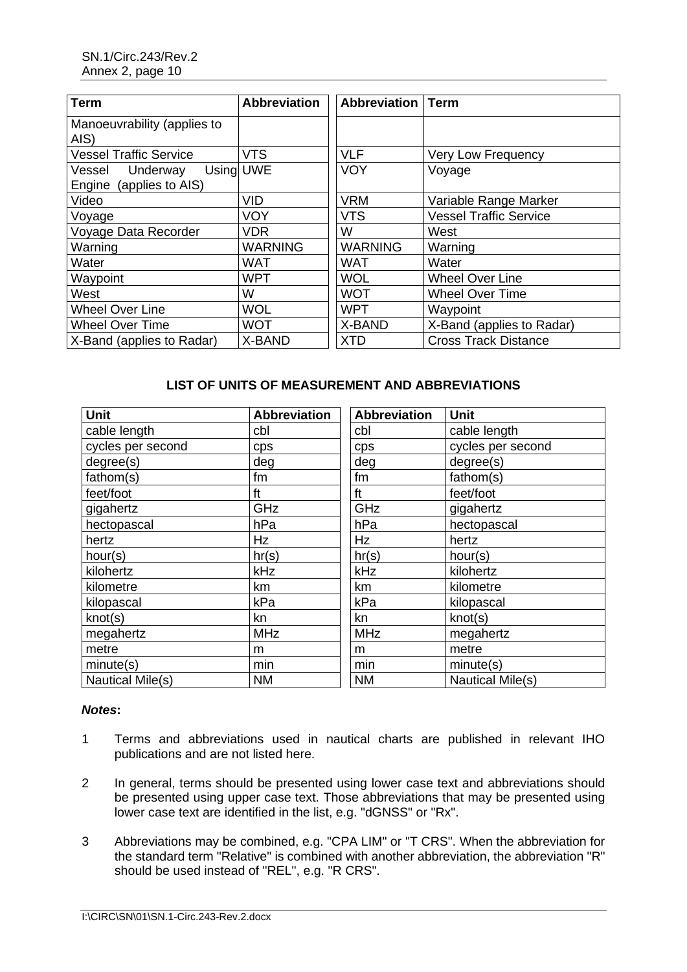| <b>Term</b>                                             | <b>Abbreviation</b> | <b>Abbreviation   Term</b> |                               |
|---------------------------------------------------------|---------------------|----------------------------|-------------------------------|
| Manoeuvrability (applies to<br>AIS)                     |                     |                            |                               |
| <b>Vessel Traffic Service</b>                           | <b>VTS</b>          | <b>VLF</b>                 | <b>Very Low Frequency</b>     |
| Using UWE<br>Vessel Underway<br>Engine (applies to AIS) |                     | <b>VOY</b>                 | Voyage                        |
| Video                                                   | <b>VID</b>          | <b>VRM</b>                 | Variable Range Marker         |
| Voyage                                                  | <b>VOY</b>          | <b>VTS</b>                 | <b>Vessel Traffic Service</b> |
| Voyage Data Recorder                                    | VDR                 | W                          | West                          |
| Warning                                                 | <b>WARNING</b>      | <b>WARNING</b>             | Warning                       |
| Water                                                   | WAT                 | <b>WAT</b>                 | Water                         |
| Waypoint                                                | <b>WPT</b>          | <b>WOL</b>                 | <b>Wheel Over Line</b>        |
| West                                                    | W                   | <b>WOT</b>                 | <b>Wheel Over Time</b>        |
| <b>Wheel Over Line</b>                                  | <b>WOL</b>          | <b>WPT</b>                 | Waypoint                      |
| <b>Wheel Over Time</b>                                  | <b>WOT</b>          | X-BAND                     | X-Band (applies to Radar)     |
| X-Band (applies to Radar)                               | X-BAND              | <b>XTD</b>                 | <b>Cross Track Distance</b>   |

## **LIST OF UNITS OF MEASUREMENT AND ABBREVIATIONS**

| <b>Unit</b>       | <b>Abbreviation</b> | <b>Abbreviation</b> | <b>Unit</b>       |
|-------------------|---------------------|---------------------|-------------------|
| cable length      | cbl                 | cbl                 | cable length      |
| cycles per second | cps                 | cps                 | cycles per second |
| degree(s)         | deg                 | deg                 | degree(s)         |
| fathom(s)         | fm                  | fm                  | fathom(s)         |
| feet/foot         | ft                  | ft                  | feet/foot         |
| gigahertz         | GHz                 | GHz                 | gigahertz         |
| hectopascal       | hPa                 | hPa                 | hectopascal       |
| hertz             | Hz                  | Hz                  | hertz             |
| hour(s)           | hr(s)               | hr(s)               | hour(s)           |
| kilohertz         | kHz                 | kHz                 | kilohertz         |
| kilometre         | km                  | km                  | kilometre         |
| kilopascal        | kPa                 | kPa                 | kilopascal        |
| knot(s)           | kn                  | kn                  | knot(s)           |
| megahertz         | <b>MHz</b>          | <b>MHz</b>          | megahertz         |
| metre             | m                   | m                   | metre             |
| minute(s)         | min                 | min                 | minute(s)         |
| Nautical Mile(s)  | <b>NM</b>           | <b>NM</b>           | Nautical Mile(s)  |

## *Notes***:**

- 1 Terms and abbreviations used in nautical charts are published in relevant IHO publications and are not listed here.
- 2 In general, terms should be presented using lower case text and abbreviations should be presented using upper case text. Those abbreviations that may be presented using lower case text are identified in the list, e.g. "dGNSS" or "Rx".
- 3 Abbreviations may be combined, e.g. "CPA LIM" or "T CRS". When the abbreviation for the standard term "Relative" is combined with another abbreviation, the abbreviation "R" should be used instead of "REL", e.g. "R CRS".